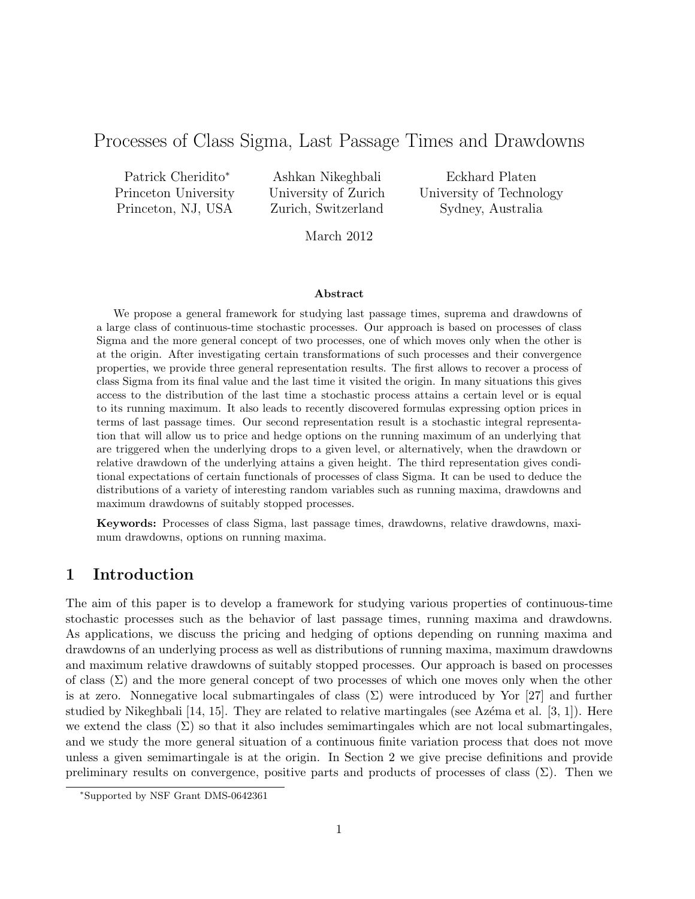# Processes of Class Sigma, Last Passage Times and Drawdowns

Patrick Cheridito<sup>∗</sup> Princeton University Princeton, NJ, USA

Ashkan Nikeghbali University of Zurich Zurich, Switzerland

Eckhard Platen University of Technology Sydney, Australia

March 2012

#### Abstract

We propose a general framework for studying last passage times, suprema and drawdowns of a large class of continuous-time stochastic processes. Our approach is based on processes of class Sigma and the more general concept of two processes, one of which moves only when the other is at the origin. After investigating certain transformations of such processes and their convergence properties, we provide three general representation results. The first allows to recover a process of class Sigma from its final value and the last time it visited the origin. In many situations this gives access to the distribution of the last time a stochastic process attains a certain level or is equal to its running maximum. It also leads to recently discovered formulas expressing option prices in terms of last passage times. Our second representation result is a stochastic integral representation that will allow us to price and hedge options on the running maximum of an underlying that are triggered when the underlying drops to a given level, or alternatively, when the drawdown or relative drawdown of the underlying attains a given height. The third representation gives conditional expectations of certain functionals of processes of class Sigma. It can be used to deduce the distributions of a variety of interesting random variables such as running maxima, drawdowns and maximum drawdowns of suitably stopped processes.

Keywords: Processes of class Sigma, last passage times, drawdowns, relative drawdowns, maximum drawdowns, options on running maxima.

# 1 Introduction

The aim of this paper is to develop a framework for studying various properties of continuous-time stochastic processes such as the behavior of last passage times, running maxima and drawdowns. As applications, we discuss the pricing and hedging of options depending on running maxima and drawdowns of an underlying process as well as distributions of running maxima, maximum drawdowns and maximum relative drawdowns of suitably stopped processes. Our approach is based on processes of class  $(\Sigma)$  and the more general concept of two processes of which one moves only when the other is at zero. Nonnegative local submartingales of class  $(\Sigma)$  were introduced by Yor [27] and further studied by Nikeghbali  $[14, 15]$ . They are related to relative martingales (see Az $\acute{e}$ ma et al.  $[3, 1]$ ). Here we extend the class  $(\Sigma)$  so that it also includes semimartingales which are not local submartingales, and we study the more general situation of a continuous finite variation process that does not move unless a given semimartingale is at the origin. In Section 2 we give precise definitions and provide preliminary results on convergence, positive parts and products of processes of class  $(\Sigma)$ . Then we

<sup>∗</sup>Supported by NSF Grant DMS-0642361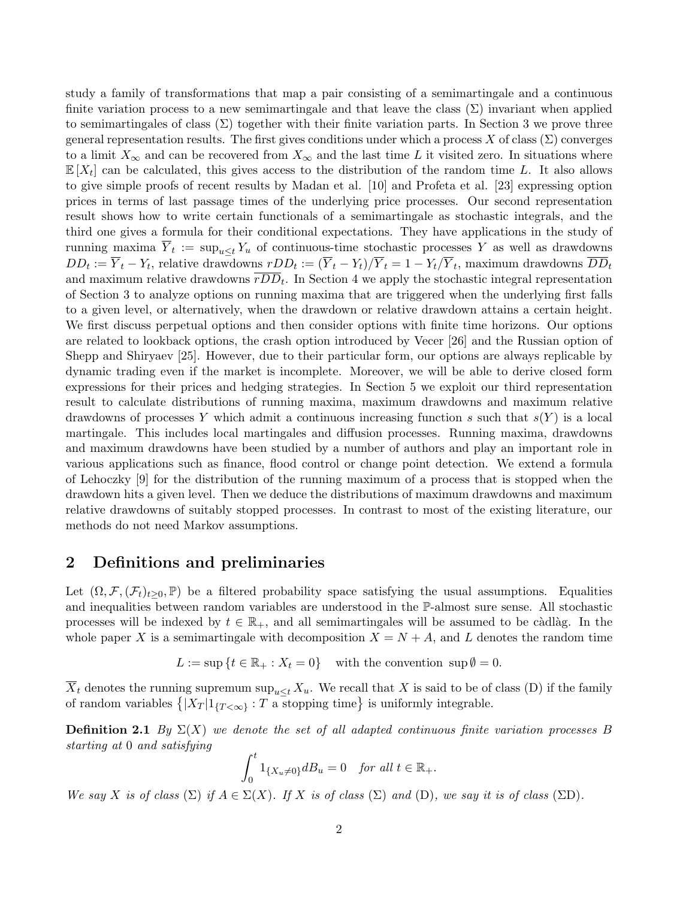study a family of transformations that map a pair consisting of a semimartingale and a continuous finite variation process to a new semimartingale and that leave the class  $(\Sigma)$  invariant when applied to semimartingales of class  $(\Sigma)$  together with their finite variation parts. In Section 3 we prove three general representation results. The first gives conditions under which a process X of class  $(\Sigma)$  converges to a limit  $X_{\infty}$  and can be recovered from  $X_{\infty}$  and the last time L it visited zero. In situations where  $\mathbb{E}[X_t]$  can be calculated, this gives access to the distribution of the random time L. It also allows to give simple proofs of recent results by Madan et al. [10] and Profeta et al. [23] expressing option prices in terms of last passage times of the underlying price processes. Our second representation result shows how to write certain functionals of a semimartingale as stochastic integrals, and the third one gives a formula for their conditional expectations. They have applications in the study of running maxima  $Y_t := \sup_{u \leq t} Y_u$  of continuous-time stochastic processes Y as well as drawdowns  $DD_t := \overline{Y}_t - Y_t$ , relative drawdowns  $rDD_t := (\overline{Y}_t - Y_t)/\overline{Y}_t = 1 - Y_t/\overline{Y}_t$ , maximum drawdowns  $\overline{DD}_t$ and maximum relative drawdowns  $rDD_t$ . In Section 4 we apply the stochastic integral representation of Section 3 to analyze options on running maxima that are triggered when the underlying first falls to a given level, or alternatively, when the drawdown or relative drawdown attains a certain height. We first discuss perpetual options and then consider options with finite time horizons. Our options are related to lookback options, the crash option introduced by Vecer [26] and the Russian option of Shepp and Shiryaev [25]. However, due to their particular form, our options are always replicable by dynamic trading even if the market is incomplete. Moreover, we will be able to derive closed form expressions for their prices and hedging strategies. In Section 5 we exploit our third representation result to calculate distributions of running maxima, maximum drawdowns and maximum relative drawdowns of processes Y which admit a continuous increasing function s such that  $s(Y)$  is a local martingale. This includes local martingales and diffusion processes. Running maxima, drawdowns and maximum drawdowns have been studied by a number of authors and play an important role in various applications such as finance, flood control or change point detection. We extend a formula of Lehoczky [9] for the distribution of the running maximum of a process that is stopped when the drawdown hits a given level. Then we deduce the distributions of maximum drawdowns and maximum relative drawdowns of suitably stopped processes. In contrast to most of the existing literature, our methods do not need Markov assumptions.

## 2 Definitions and preliminaries

Let  $(\Omega, \mathcal{F}, (\mathcal{F}_t)_{t>0}, \mathbb{P})$  be a filtered probability space satisfying the usual assumptions. Equalities and inequalities between random variables are understood in the P-almost sure sense. All stochastic processes will be indexed by  $t \in \mathbb{R}_+$ , and all semimartingales will be assumed to be càdlàg. In the whole paper X is a semimartingale with decomposition  $X = N + A$ , and L denotes the random time

$$
L := \sup \{ t \in \mathbb{R}_+ : X_t = 0 \} \quad \text{with the convention } \sup \emptyset = 0.
$$

 $\overline{X}_t$  denotes the running supremum sup<sub>u<t</sub>  $X_u$ . We recall that X is said to be of class (D) if the family of random variables  $\{|X_T|1_{\{T<\infty\}} : T \text{ a stopping time}\}\$ is uniformly integrable.

**Definition 2.1** By  $\Sigma(X)$  we denote the set of all adapted continuous finite variation processes B starting at 0 and satisfying

$$
\int_0^t 1_{\{X_u \neq 0\}} dB_u = 0 \quad \text{for all } t \in \mathbb{R}_+.
$$

We say X is of class  $(\Sigma)$  if  $A \in \Sigma(X)$ . If X is of class  $(\Sigma)$  and  $(D)$ , we say it is of class  $(\Sigma D)$ .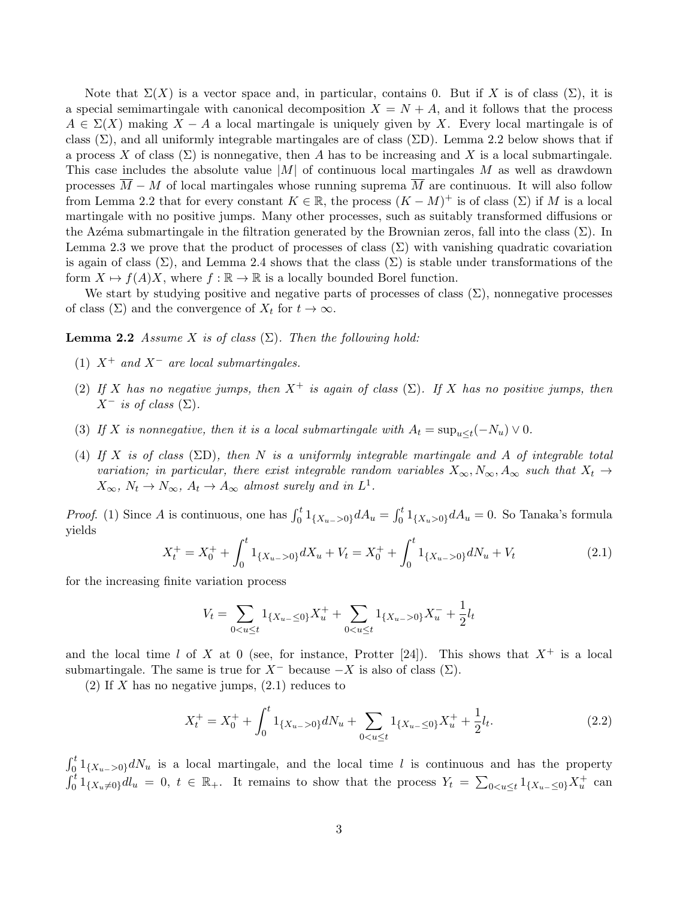Note that  $\Sigma(X)$  is a vector space and, in particular, contains 0. But if X is of class  $(\Sigma)$ , it is a special semimartingale with canonical decomposition  $X = N + A$ , and it follows that the process  $A \in \Sigma(X)$  making  $X - A$  a local martingale is uniquely given by X. Every local martingale is of class  $(\Sigma)$ , and all uniformly integrable martingales are of class  $(\Sigma)$ . Lemma 2.2 below shows that if a process X of class  $(\Sigma)$  is nonnegative, then A has to be increasing and X is a local submartingale. This case includes the absolute value  $|M|$  of continuous local martingales M as well as drawdown processes  $\overline{M}$  − M of local martingales whose running suprema  $\overline{M}$  are continuous. It will also follow from Lemma 2.2 that for every constant  $K \in \mathbb{R}$ , the process  $(K - M)^+$  is of class  $(\Sigma)$  if M is a local martingale with no positive jumps. Many other processes, such as suitably transformed diffusions or the Azema submartingale in the filtration generated by the Brownian zeros, fall into the class  $(\Sigma)$ . In Lemma 2.3 we prove that the product of processes of class  $(\Sigma)$  with vanishing quadratic covariation is again of class  $(\Sigma)$ , and Lemma 2.4 shows that the class  $(\Sigma)$  is stable under transformations of the form  $X \mapsto f(A)X$ , where  $f : \mathbb{R} \to \mathbb{R}$  is a locally bounded Borel function.

We start by studying positive and negative parts of processes of class  $(\Sigma)$ , nonnegative processes of class  $(\Sigma)$  and the convergence of  $X_t$  for  $t \to \infty$ .

**Lemma 2.2** Assume X is of class  $(\Sigma)$ . Then the following hold:

- (1)  $X^+$  and  $X^-$  are local submartingales.
- (2) If X has no negative jumps, then  $X^+$  is again of class  $(\Sigma)$ . If X has no positive jumps, then  $X^-$  is of class  $(\Sigma)$ .
- (3) If X is nonnegative, then it is a local submartingale with  $A_t = \sup_{u \leq t} (-N_u) \vee 0$ .
- (4) If X is of class ( $\Sigma$ D), then N is a uniformly integrable martingale and A of integrable total variation; in particular, there exist integrable random variables  $X_{\infty}$ ,  $N_{\infty}$ ,  $A_{\infty}$  such that  $X_t \to$  $X_{\infty}$ ,  $N_t \to N_{\infty}$ ,  $A_t \to A_{\infty}$  almost surely and in  $L^1$ .

*Proof.* (1) Since A is continuous, one has  $\int_0^t 1_{\{X_u>0\}}dA_u = \int_0^t 1_{\{X_u>0\}}dA_u = 0$ . So Tanaka's formula yields

$$
X_t^+ = X_0^+ + \int_0^t 1_{\{X_{u-}>0\}} dX_u + V_t = X_0^+ + \int_0^t 1_{\{X_{u-}>0\}} dN_u + V_t \tag{2.1}
$$

for the increasing finite variation process

$$
V_t = \sum_{0 < u \le t} 1_{\{X_{u-} \le t\}} X_u^+ + \sum_{0 < u \le t} 1_{\{X_{u-} > 0\}} X_u^- + \frac{1}{2} l_t
$$

and the local time l of X at 0 (see, for instance, Protter [24]). This shows that  $X^+$  is a local submartingale. The same is true for  $X^-$  because  $-X$  is also of class  $(\Sigma)$ .

 $(2)$  If X has no negative jumps,  $(2.1)$  reduces to

$$
X_t^+ = X_0^+ + \int_0^t 1_{\{X_{u-}>0\}} dN_u + \sum_{0
$$

 $\int_0^t 1_{\{X_u > 0\}} dN_u$  is a local martingale, and the local time l is continuous and has the property  $\int_0^t 1_{\{X_u\neq0\}}dl_u = 0, t \in \mathbb{R}_+$ . It remains to show that the process  $Y_t = \sum_{0 \le u \le t} 1_{\{X_u = \le 0\}} X_u^+$  can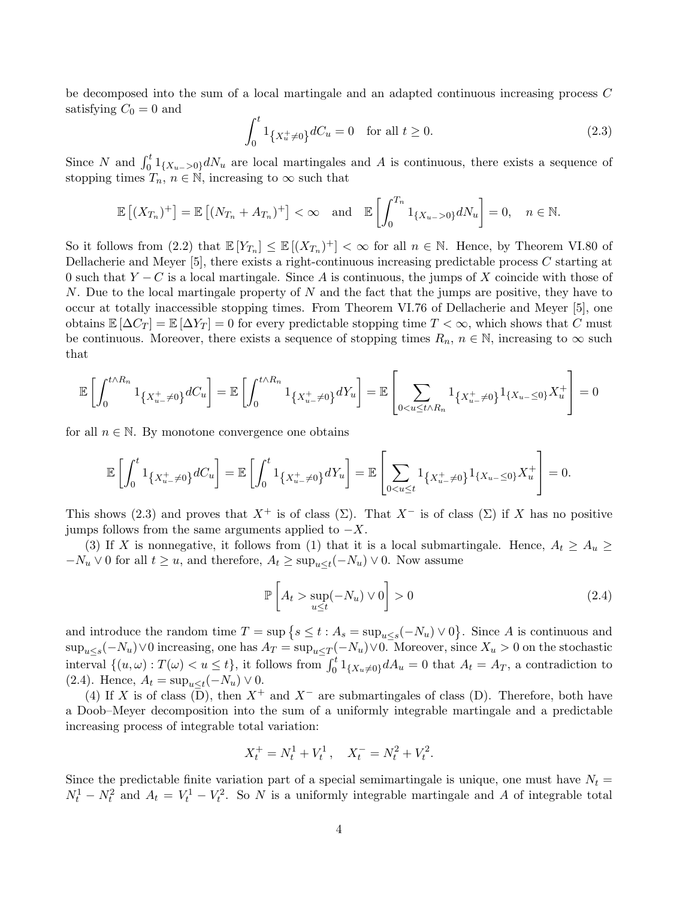be decomposed into the sum of a local martingale and an adapted continuous increasing process C satisfying  $C_0 = 0$  and

$$
\int_0^t 1_{\{X_u^+ \neq 0\}} dC_u = 0 \quad \text{for all } t \ge 0.
$$
 (2.3)

Since N and  $\int_0^t 1_{\{X_{u-}>0\}}dN_u$  are local martingales and A is continuous, there exists a sequence of stopping times  $T_n$ ,  $n \in \mathbb{N}$ , increasing to  $\infty$  such that

$$
\mathbb{E}\left[ (X_{T_n})^+\right] = \mathbb{E}\left[ (N_{T_n} + A_{T_n})^+\right] < \infty \quad \text{and} \quad \mathbb{E}\left[ \int_0^{T_n} 1_{\{X_{u-} > 0\}} dN_u \right] = 0, \quad n \in \mathbb{N}.
$$

So it follows from (2.2) that  $\mathbb{E}[Y_{T_n}] \leq \mathbb{E}[(X_{T_n})^+] < \infty$  for all  $n \in \mathbb{N}$ . Hence, by Theorem VI.80 of Dellacherie and Meyer [5], there exists a right-continuous increasing predictable process C starting at 0 such that  $Y - C$  is a local martingale. Since A is continuous, the jumps of X coincide with those of N. Due to the local martingale property of  $N$  and the fact that the jumps are positive, they have to occur at totally inaccessible stopping times. From Theorem VI.76 of Dellacherie and Meyer [5], one obtains  $\mathbb{E}[\Delta C_T] = \mathbb{E}[\Delta Y_T] = 0$  for every predictable stopping time  $T < \infty$ , which shows that C must be continuous. Moreover, there exists a sequence of stopping times  $R_n$ ,  $n \in \mathbb{N}$ , increasing to  $\infty$  such that

$$
\mathbb{E}\left[\int_0^{t\wedge R_n} 1_{\{X_{u-}^+\neq 0\}} dC_u\right] = \mathbb{E}\left[\int_0^{t\wedge R_n} 1_{\{X_{u-}^+\neq 0\}} dY_u\right] = \mathbb{E}\left[\sum_{0
$$

for all  $n \in \mathbb{N}$ . By monotone convergence one obtains

$$
\mathbb{E}\left[\int_0^t 1_{\{X_{u-}^+\neq 0\}} dC_u\right] = \mathbb{E}\left[\int_0^t 1_{\{X_{u-}^+\neq 0\}} dY_u\right] = \mathbb{E}\left[\sum_{0
$$

This shows (2.3) and proves that  $X^+$  is of class ( $\Sigma$ ). That  $X^-$  is of class ( $\Sigma$ ) if X has no positive jumps follows from the same arguments applied to  $-X$ .

(3) If X is nonnegative, it follows from (1) that it is a local submartingale. Hence,  $A_t \geq A_u$  $-N_u \vee 0$  for all  $t \geq u$ , and therefore,  $A_t \geq \sup_{u \leq t} (-N_u) \vee 0$ . Now assume

$$
\mathbb{P}\left[A_t > \sup_{u \le t} (-N_u) \vee 0\right] > 0\tag{2.4}
$$

and introduce the random time  $T = \sup \{ s \le t : A_s = \sup_{u \le s} (-N_u) \vee 0 \}.$  Since A is continuous and  $\sup_{u\leq s}(-N_u)\vee 0$  increasing, one has  $A_T = \sup_{u\leq T}(-N_u)\vee 0$ . Moreover, since  $X_u > 0$  on the stochastic interval  $\{(u,\omega): T(\omega) < u \leq t\}$ , it follows from  $\int_0^t 1_{\{X_u \neq 0\}} dA_u = 0$  that  $A_t = A_T$ , a contradiction to (2.4). Hence,  $A_t = \sup_{u \le t} (-N_u) \vee 0$ .

(4) If X is of class  $(\overline{D})$ , then  $X^+$  and  $X^-$  are submartingales of class  $(D)$ . Therefore, both have a Doob–Meyer decomposition into the sum of a uniformly integrable martingale and a predictable increasing process of integrable total variation:

$$
X_t^+ = N_t^1 + V_t^1 \,, \quad X_t^- = N_t^2 + V_t^2.
$$

Since the predictable finite variation part of a special semimartingale is unique, one must have  $N_t =$  $N_t^1 - N_t^2$  and  $A_t = V_t^1 - V_t^2$ . So N is a uniformly integrable martingale and A of integrable total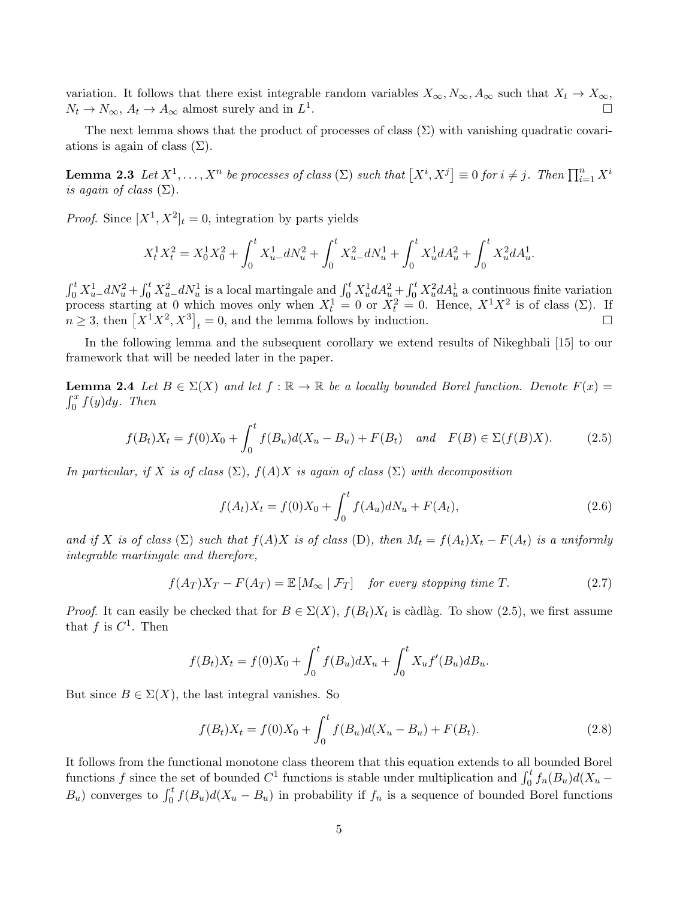variation. It follows that there exist integrable random variables  $X_{\infty}, N_{\infty}, A_{\infty}$  such that  $X_t \to X_{\infty}$ ,  $N_t \to N_\infty$ ,  $A_t \to A_\infty$  almost surely and in  $L^1$ . В последните последните последните последните последните последните последните последните последните последн<br>В последните последните последните последните последните последните последните последните последните последнит

The next lemma shows that the product of processes of class  $(\Sigma)$  with vanishing quadratic covariations is again of class  $(\Sigma)$ .

**Lemma 2.3** Let  $X^1, \ldots, X^n$  be processes of class  $(\Sigma)$  such that  $[X^i, X^j] \equiv 0$  for  $i \neq j$ . Then  $\prod_{i=1}^n X^i$ is again of class  $(\Sigma)$ .

*Proof.* Since  $[X^1, X^2]_t = 0$ , integration by parts yields

$$
X_t^1 X_t^2 = X_0^1 X_0^2 + \int_0^t X_{u-}^1 dN_u^2 + \int_0^t X_{u-}^2 dN_u^1 + \int_0^t X_u^1 dA_u^2 + \int_0^t X_u^2 dA_u^1.
$$

 $\int_0^t X_u^1 dX_u^2 + \int_0^t X_u^2 dX_u^1$  is a local martingale and  $\int_0^t X_u^1 dX_u^2 + \int_0^t X_u^2 dX_u^1$  a continuous finite variation process starting at 0 which moves only when  $X_t^1 = 0$  or  $X_t^2 = 0$ . Hence,  $X^1 X^2$  is of class  $(\Sigma)$ . If  $n \geq 3$ , then  $[X^1 X^2, X^3]_t = 0$ , and the lemma follows by induction.

In the following lemma and the subsequent corollary we extend results of Nikeghbali [15] to our framework that will be needed later in the paper.

**Lemma 2.4** Let  $B \in \Sigma(X)$  and let  $f : \mathbb{R} \to \mathbb{R}$  be a locally bounded Borel function. Denote  $F(x) =$  $\int_0^x f(y) dy$ . Then

$$
f(B_t)X_t = f(0)X_0 + \int_0^t f(B_u)d(X_u - B_u) + F(B_t) \quad \text{and} \quad F(B) \in \Sigma(f(B)X). \tag{2.5}
$$

In particular, if X is of class  $(\Sigma)$ ,  $f(A)X$  is again of class  $(\Sigma)$  with decomposition

$$
f(A_t)X_t = f(0)X_0 + \int_0^t f(A_u)dN_u + F(A_t),
$$
\n(2.6)

and if X is of class ( $\Sigma$ ) such that  $f(A)X$  is of class (D), then  $M_t = f(A_t)X_t - F(A_t)$  is a uniformly integrable martingale and therefore,

$$
f(A_T)X_T - F(A_T) = \mathbb{E}[M_{\infty} | \mathcal{F}_T] \quad \text{for every stopping time } T. \tag{2.7}
$$

*Proof.* It can easily be checked that for  $B \in \Sigma(X)$ ,  $f(B_t)X_t$  is càdlàg. To show (2.5), we first assume that f is  $C^1$ . Then

$$
f(B_t)X_t = f(0)X_0 + \int_0^t f(B_u)dX_u + \int_0^t X_u f'(B_u)dB_u.
$$

But since  $B \in \Sigma(X)$ , the last integral vanishes. So

$$
f(B_t)X_t = f(0)X_0 + \int_0^t f(B_u)d(X_u - B_u) + F(B_t).
$$
\n(2.8)

It follows from the functional monotone class theorem that this equation extends to all bounded Borel functions f since the set of bounded  $C^1$  functions is stable under multiplication and  $\int_0^t f_n(B_u) d(X_u B_u$ ) converges to  $\int_0^t f(B_u)d(X_u - B_u)$  in probability if  $f_n$  is a sequence of bounded Borel functions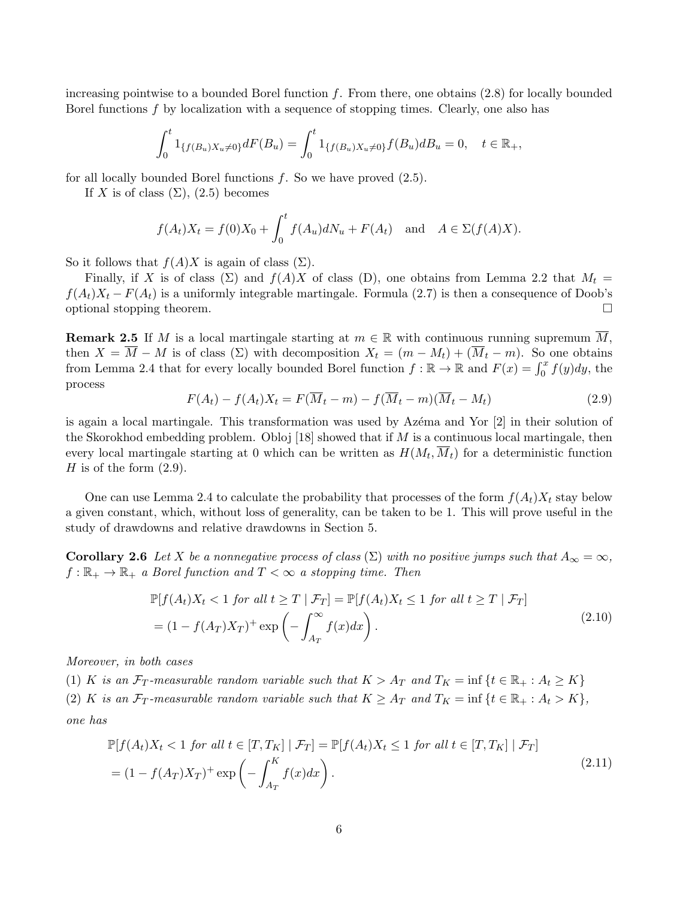increasing pointwise to a bounded Borel function  $f$ . From there, one obtains  $(2.8)$  for locally bounded Borel functions f by localization with a sequence of stopping times. Clearly, one also has

$$
\int_0^t 1_{\{f(B_u)X_u \neq 0\}} dF(B_u) = \int_0^t 1_{\{f(B_u)X_u \neq 0\}} f(B_u) dB_u = 0, \quad t \in \mathbb{R}_+,
$$

for all locally bounded Borel functions  $f$ . So we have proved  $(2.5)$ .

If X is of class  $(\Sigma)$ ,  $(2.5)$  becomes

$$
f(A_t)X_t = f(0)X_0 + \int_0^t f(A_u)dN_u + F(A_t)
$$
 and  $A \in \Sigma(f(A)X)$ .

So it follows that  $f(A)X$  is again of class  $(\Sigma)$ .

Finally, if X is of class  $(\Sigma)$  and  $f(A)X$  of class  $(D)$ , one obtains from Lemma 2.2 that  $M_t =$  $f(A_t)X_t - F(A_t)$  is a uniformly integrable martingale. Formula (2.7) is then a consequence of Doob's optional stopping theorem.

**Remark 2.5** If M is a local martingale starting at  $m \in \mathbb{R}$  with continuous running supremum  $\overline{M}$ , then  $X = \overline{M} - M$  is of class  $(\Sigma)$  with decomposition  $X_t = (m - M_t) + (\overline{M}_t - m)$ . So one obtains from Lemma 2.4 that for every locally bounded Borel function  $f : \mathbb{R} \to \mathbb{R}$  and  $F(x) = \int_0^x f(y) dy$ , the process

$$
F(A_t) - f(A_t)X_t = F(\overline{M}_t - m) - f(\overline{M}_t - m)(\overline{M}_t - M_t)
$$
\n(2.9)

is again a local martingale. This transformation was used by Az $\epsilon$ ma and Yor [2] in their solution of the Skorokhod embedding problem. Obloj [18] showed that if  $M$  is a continuous local martingale, then every local martingale starting at 0 which can be written as  $H(M_t, M_t)$  for a deterministic function H is of the form  $(2.9)$ .

One can use Lemma 2.4 to calculate the probability that processes of the form  $f(A_t)X_t$  stay below a given constant, which, without loss of generality, can be taken to be 1. This will prove useful in the study of drawdowns and relative drawdowns in Section 5.

**Corollary 2.6** Let X be a nonnegative process of class  $(\Sigma)$  with no positive jumps such that  $A_{\infty} = \infty$ ,  $f: \mathbb{R}_+ \to \mathbb{R}_+$  a Borel function and  $T < \infty$  a stopping time. Then

$$
\mathbb{P}[f(A_t)X_t < 1 \text{ for all } t \ge T \mid \mathcal{F}_T] = \mathbb{P}[f(A_t)X_t \le 1 \text{ for all } t \ge T \mid \mathcal{F}_T]
$$
\n
$$
= (1 - f(A_T)X_T)^+ \exp\left(-\int_{A_T}^{\infty} f(x)dx\right). \tag{2.10}
$$

Moreover, in both cases

(1) K is an  $\mathcal{F}_T$ -measurable random variable such that  $K > A_T$  and  $T_K = \inf \{ t \in \mathbb{R}_+ : A_t \geq K \}$ (2) K is an  $\mathcal{F}_T$ -measurable random variable such that  $K \geq A_T$  and  $T_K = \inf \{ t \in \mathbb{R}_+ : A_t > K \}$ , one has

$$
\mathbb{P}[f(A_t)X_t < 1 \text{ for all } t \in [T, T_K] \mid \mathcal{F}_T] = \mathbb{P}[f(A_t)X_t \le 1 \text{ for all } t \in [T, T_K] \mid \mathcal{F}_T]
$$
\n
$$
= (1 - f(A_T)X_T)^+ \exp\left(-\int_{A_T}^K f(x)dx\right). \tag{2.11}
$$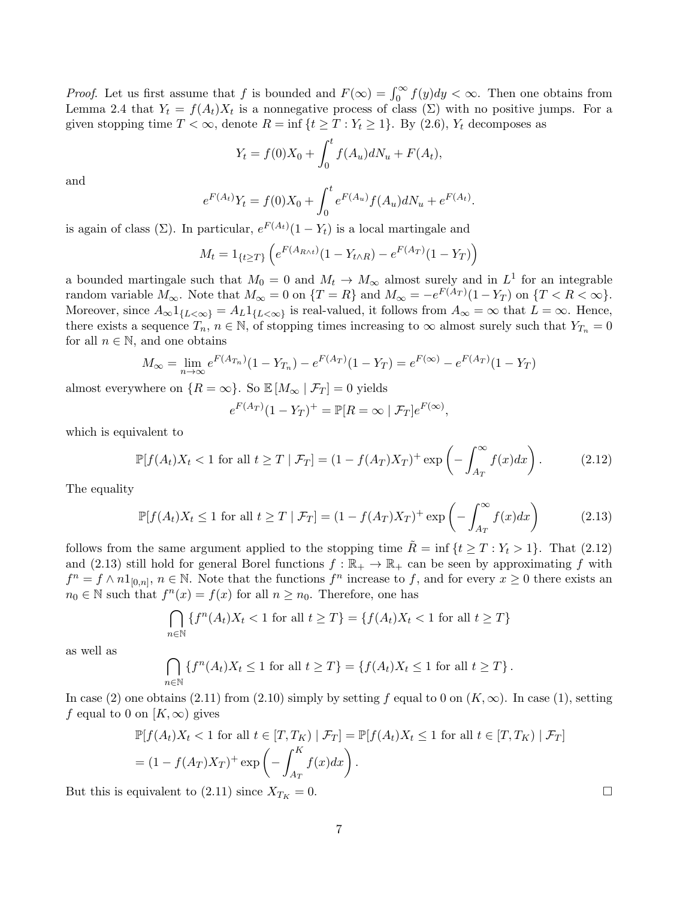*Proof.* Let us first assume that f is bounded and  $F(\infty) = \int_0^\infty f(y) dy < \infty$ . Then one obtains from Lemma 2.4 that  $Y_t = f(A_t)X_t$  is a nonnegative process of class  $(\Sigma)$  with no positive jumps. For a given stopping time  $T < \infty$ , denote  $R = \inf \{ t \ge T : Y_t \ge 1 \}$ . By (2.6),  $Y_t$  decomposes as

$$
Y_t = f(0)X_0 + \int_0^t f(A_u)dN_u + F(A_t),
$$

and

$$
e^{F(A_t)}Y_t = f(0)X_0 + \int_0^t e^{F(A_u)}f(A_u)dN_u + e^{F(A_t)}.
$$

is again of class ( $\Sigma$ ). In particular,  $e^{F(A_t)}(1 - Y_t)$  is a local martingale and

$$
M_t = 1_{\{t \ge T\}} \left( e^{F(A_{R \wedge t})} (1 - Y_{t \wedge R}) - e^{F(A_T)} (1 - Y_T) \right)
$$

a bounded martingale such that  $M_0 = 0$  and  $M_t \to M_\infty$  almost surely and in  $L^1$  for an integrable random variable  $M_{\infty}$ . Note that  $M_{\infty} = 0$  on  $\{T = R\}$  and  $M_{\infty} = -e^{F(A_T)}(1 - Y_T)$  on  $\{T < R < \infty\}$ . Moreover, since  $A_{\infty}1_{\{L<\infty\}}=A_L1_{\{L<\infty\}}$  is real-valued, it follows from  $A_{\infty}=\infty$  that  $L=\infty$ . Hence, there exists a sequence  $T_n$ ,  $n \in \mathbb{N}$ , of stopping times increasing to  $\infty$  almost surely such that  $Y_{T_n} = 0$ for all  $n \in \mathbb{N}$ , and one obtains

$$
M_{\infty} = \lim_{n \to \infty} e^{F(A_{T_n})} (1 - Y_{T_n}) - e^{F(A_T)} (1 - Y_T) = e^{F(\infty)} - e^{F(A_T)} (1 - Y_T)
$$

almost everywhere on  $\{R = \infty\}$ . So  $\mathbb{E}[M_{\infty} | \mathcal{F}_T] = 0$  yields

$$
e^{F(A_T)}(1 - Y_T)^{+} = \mathbb{P}[R = \infty \mid \mathcal{F}_T]e^{F(\infty)},
$$

which is equivalent to

$$
\mathbb{P}[f(A_t)X_t < 1 \text{ for all } t \ge T \mid \mathcal{F}_T] = (1 - f(A_T)X_T)^+ \exp\left(-\int_{A_T}^{\infty} f(x)dx\right). \tag{2.12}
$$

The equality

$$
\mathbb{P}[f(A_t)X_t \le 1 \text{ for all } t \ge T \mid \mathcal{F}_T] = (1 - f(A_T)X_T)^+ \exp\left(-\int_{A_T}^{\infty} f(x)dx\right) \tag{2.13}
$$

follows from the same argument applied to the stopping time  $\tilde{R} = \inf \{t \geq T : Y_t > 1\}$ . That (2.12) and (2.13) still hold for general Borel functions  $f : \mathbb{R}_+ \to \mathbb{R}_+$  can be seen by approximating f with  $f^{n} = f \wedge n1_{[0,n]}, n \in \mathbb{N}$ . Note that the functions  $f^{n}$  increase to f, and for every  $x \geq 0$  there exists an  $n_0 \in \mathbb{N}$  such that  $f^n(x) = f(x)$  for all  $n \geq n_0$ . Therefore, one has

$$
\bigcap_{n \in \mathbb{N}} \{f^n(A_t)X_t < 1 \text{ for all } t \ge T\} = \{f(A_t)X_t < 1 \text{ for all } t \ge T\}
$$

as well as

$$
\bigcap_{n\in\mathbb{N}}\left\{f^{n}(A_{t})X_{t}\leq 1 \text{ for all } t\geq T\right\}=\left\{f(A_{t})X_{t}\leq 1 \text{ for all } t\geq T\right\}.
$$

In case (2) one obtains (2.11) from (2.10) simply by setting f equal to 0 on  $(K, \infty)$ . In case (1), setting f equal to 0 on  $[K, \infty)$  gives

$$
\mathbb{P}[f(A_t)X_t < 1 \text{ for all } t \in [T, T_K) \mid \mathcal{F}_T] = \mathbb{P}[f(A_t)X_t \le 1 \text{ for all } t \in [T, T_K) \mid \mathcal{F}_T]
$$
\n
$$
= (1 - f(A_T)X_T)^+ \exp\left(-\int_{A_T}^K f(x)dx\right).
$$

But this is equivalent to (2.11) since  $X_{T_K} = 0$ .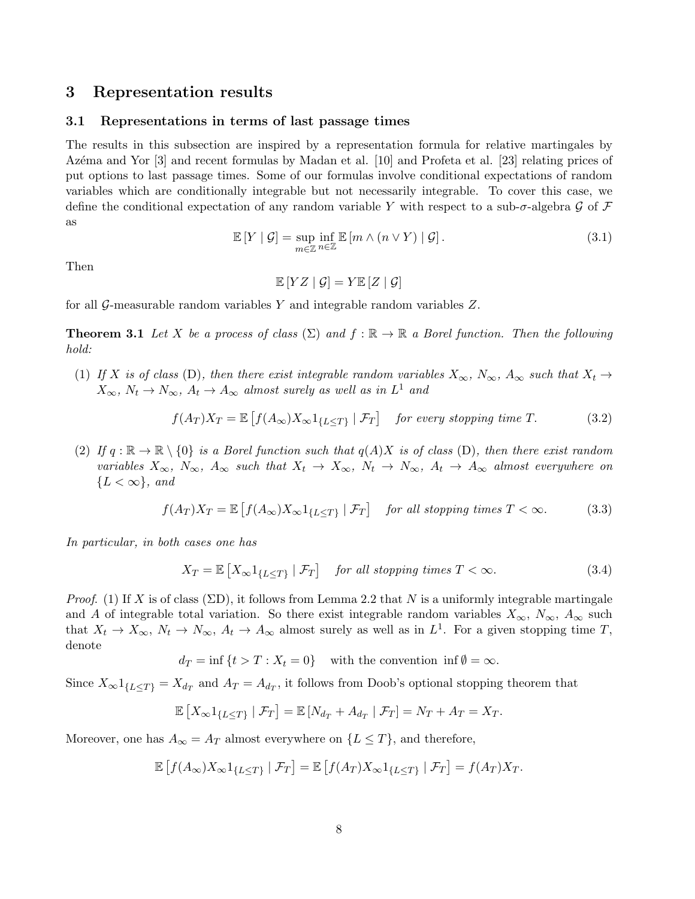## 3 Representation results

### 3.1 Representations in terms of last passage times

The results in this subsection are inspired by a representation formula for relative martingales by Azéma and Yor [3] and recent formulas by Madan et al. [10] and Profeta et al. [23] relating prices of put options to last passage times. Some of our formulas involve conditional expectations of random variables which are conditionally integrable but not necessarily integrable. To cover this case, we define the conditional expectation of any random variable Y with respect to a sub- $\sigma$ -algebra  $\mathcal G$  of  $\mathcal F$ as

$$
\mathbb{E}\left[Y \mid \mathcal{G}\right] = \sup_{m \in \mathbb{Z}} \inf_{n \in \mathbb{Z}} \mathbb{E}\left[m \wedge (n \vee Y) \mid \mathcal{G}\right].\tag{3.1}
$$

Then

$$
\mathbb{E}[YZ \mid \mathcal{G}] = Y\mathbb{E}[Z \mid \mathcal{G}]
$$

for all  $\mathcal G$ -measurable random variables Y and integrable random variables  $Z$ .

**Theorem 3.1** Let X be a process of class  $(\Sigma)$  and  $f : \mathbb{R} \to \mathbb{R}$  a Borel function. Then the following hold:

(1) If X is of class (D), then there exist integrable random variables  $X_{\infty}$ ,  $N_{\infty}$ ,  $A_{\infty}$  such that  $X_t \rightarrow$  $X_{\infty}, N_t \to N_{\infty}, A_t \to A_{\infty}$  almost surely as well as in  $L^1$  and

$$
f(A_T)X_T = \mathbb{E}\left[f(A_{\infty})X_{\infty}1_{\{L\leq T\}} | \mathcal{F}_T\right] \quad \text{for every stopping time } T. \tag{3.2}
$$

(2) If  $q : \mathbb{R} \to \mathbb{R} \setminus \{0\}$  is a Borel function such that  $q(A)X$  is of class (D), then there exist random variables  $X_{\infty}$ ,  $N_{\infty}$ ,  $A_{\infty}$  such that  $X_t \to X_{\infty}$ ,  $N_t \to N_{\infty}$ ,  $A_t \to A_{\infty}$  almost everywhere on  ${L < \infty}$ , and

$$
f(A_T)X_T = \mathbb{E}\left[f(A_{\infty})X_{\infty}1_{\{L\leq T\}} \mid \mathcal{F}_T\right] \quad \text{for all stopping times } T < \infty. \tag{3.3}
$$

In particular, in both cases one has

$$
X_T = \mathbb{E}\left[X_{\infty}1_{\{L\leq T\}} \mid \mathcal{F}_T\right] \quad \text{for all stopping times } T < \infty. \tag{3.4}
$$

*Proof.* (1) If X is of class ( $\Sigma$ D), it follows from Lemma 2.2 that N is a uniformly integrable martingale and A of integrable total variation. So there exist integrable random variables  $X_{\infty}$ ,  $N_{\infty}$ ,  $A_{\infty}$  such that  $X_t \to X_\infty$ ,  $N_t \to N_\infty$ ,  $A_t \to A_\infty$  almost surely as well as in  $L^1$ . For a given stopping time T, denote

 $d_T = \inf \left\{ t > T : X_t = 0 \right\} \quad \text{with the convention } \inf \emptyset = \infty.$ 

Since  $X_{\infty}1_{\{L\leq T\}}=X_{d_T}$  and  $A_T=A_{d_T}$ , it follows from Doob's optional stopping theorem that

$$
\mathbb{E}\left[X_{\infty}1_{\{L\leq T\}}\mid \mathcal{F}_T\right] = \mathbb{E}\left[N_{d_T} + A_{d_T} \mid \mathcal{F}_T\right] = N_T + A_T = X_T.
$$

Moreover, one has  $A_{\infty} = A_T$  almost everywhere on  $\{L \leq T\}$ , and therefore,

$$
\mathbb{E}\left[f(A_{\infty})X_{\infty}1_{\{L\leq T\}}\mid \mathcal{F}_T\right] = \mathbb{E}\left[f(A_T)X_{\infty}1_{\{L\leq T\}}\mid \mathcal{F}_T\right] = f(A_T)X_T.
$$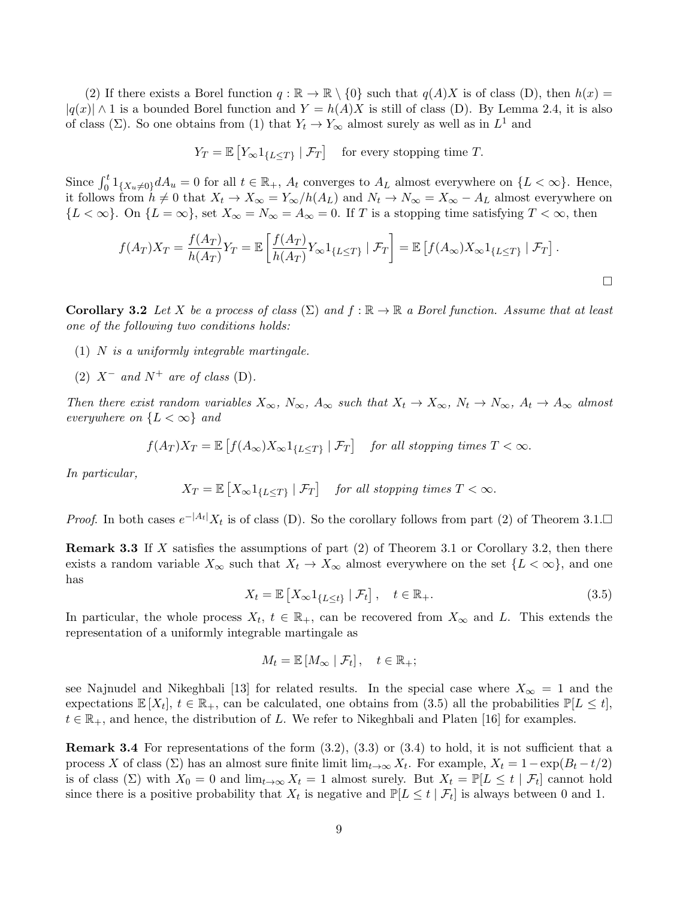(2) If there exists a Borel function  $q : \mathbb{R} \to \mathbb{R} \setminus \{0\}$  such that  $q(A)X$  is of class (D), then  $h(x) =$  $|q(x)| \wedge 1$  is a bounded Borel function and  $Y = h(A)X$  is still of class (D). By Lemma 2.4, it is also of class ( $\Sigma$ ). So one obtains from (1) that  $Y_t \to Y_\infty$  almost surely as well as in  $L^1$  and

 $Y_T = \mathbb{E}\left[Y_{\infty}1_{\{L\leq T\}} | \mathcal{F}_T\right]$  for every stopping time T.

Since  $\int_0^t 1_{\{X_u\neq 0\}}dA_u = 0$  for all  $t \in \mathbb{R}_+$ ,  $A_t$  converges to  $A_L$  almost everywhere on  $\{L < \infty\}$ . Hence, it follows from  $h \neq 0$  that  $X_t \to X_\infty = Y_\infty/h(A_L)$  and  $N_t \to N_\infty = X_\infty - A_L$  almost everywhere on  ${L < \infty}$ . On  ${L = \infty}$ , set  $X_{\infty} = N_{\infty} = A_{\infty} = 0$ . If T is a stopping time satisfying  $T < \infty$ , then

$$
f(A_T)X_T = \frac{f(A_T)}{h(A_T)}Y_T = \mathbb{E}\left[\frac{f(A_T)}{h(A_T)}Y_{\infty}1_{\{L\leq T\}} \mid \mathcal{F}_T\right] = \mathbb{E}\left[f(A_{\infty})X_{\infty}1_{\{L\leq T\}} \mid \mathcal{F}_T\right].
$$

**Corollary 3.2** Let X be a process of class  $(\Sigma)$  and  $f : \mathbb{R} \to \mathbb{R}$  a Borel function. Assume that at least one of the following two conditions holds:

- $(1)$  N is a uniformly integrable martingale.
- (2)  $X^-$  and  $N^+$  are of class (D).

Then there exist random variables  $X_{\infty}$ ,  $N_{\infty}$ ,  $A_{\infty}$  such that  $X_t \to X_{\infty}$ ,  $N_t \to N_{\infty}$ ,  $A_t \to A_{\infty}$  almost everywhere on  ${L < \infty}$  and

$$
f(A_T)X_T = \mathbb{E}\left[f(A_{\infty})X_{\infty}1_{\{L\leq T\}} \mid \mathcal{F}_T\right]
$$
 for all stopping times  $T < \infty$ .

In particular,

$$
X_T = \mathbb{E}\left[X_{\infty}1_{\{L\leq T\}} \mid \mathcal{F}_T\right]
$$
 for all stopping times  $T < \infty$ .

*Proof.* In both cases  $e^{-|A_t|}X_t$  is of class (D). So the corollary follows from part (2) of Theorem 3.1.

**Remark 3.3** If  $X$  satisfies the assumptions of part  $(2)$  of Theorem 3.1 or Corollary 3.2, then there exists a random variable  $X_{\infty}$  such that  $X_t \to X_{\infty}$  almost everywhere on the set  $\{L < \infty\}$ , and one has

$$
X_t = \mathbb{E}\left[X_{\infty}1_{\{L\leq t\}} \mid \mathcal{F}_t\right], \quad t \in \mathbb{R}_+.
$$
\n
$$
(3.5)
$$

In particular, the whole process  $X_t$ ,  $t \in \mathbb{R}_+$ , can be recovered from  $X_\infty$  and L. This extends the representation of a uniformly integrable martingale as

$$
M_t = \mathbb{E}\left[M_\infty \mid \mathcal{F}_t\right], \quad t \in \mathbb{R}_+;
$$

see Najnudel and Nikeghbali [13] for related results. In the special case where  $X_{\infty} = 1$  and the expectations  $\mathbb{E}[X_t], t \in \mathbb{R}_+$ , can be calculated, one obtains from (3.5) all the probabilities  $\mathbb{P}[L \le t]$ ,  $t \in \mathbb{R}_+$ , and hence, the distribution of L. We refer to Nikeghbali and Platen [16] for examples.

**Remark 3.4** For representations of the form  $(3.2)$ ,  $(3.3)$  or  $(3.4)$  to hold, it is not sufficient that a process X of class ( $\Sigma$ ) has an almost sure finite limit lim<sub>t→∞</sub>  $X_t$ . For example,  $X_t = 1 - \exp(B_t - t/2)$ is of class ( $\Sigma$ ) with  $X_0 = 0$  and  $\lim_{t\to\infty} X_t = 1$  almost surely. But  $X_t = \mathbb{P}[L \le t \mid \mathcal{F}_t]$  cannot hold since there is a positive probability that  $X_t$  is negative and  $\mathbb{P}[L \leq t | \mathcal{F}_t]$  is always between 0 and 1.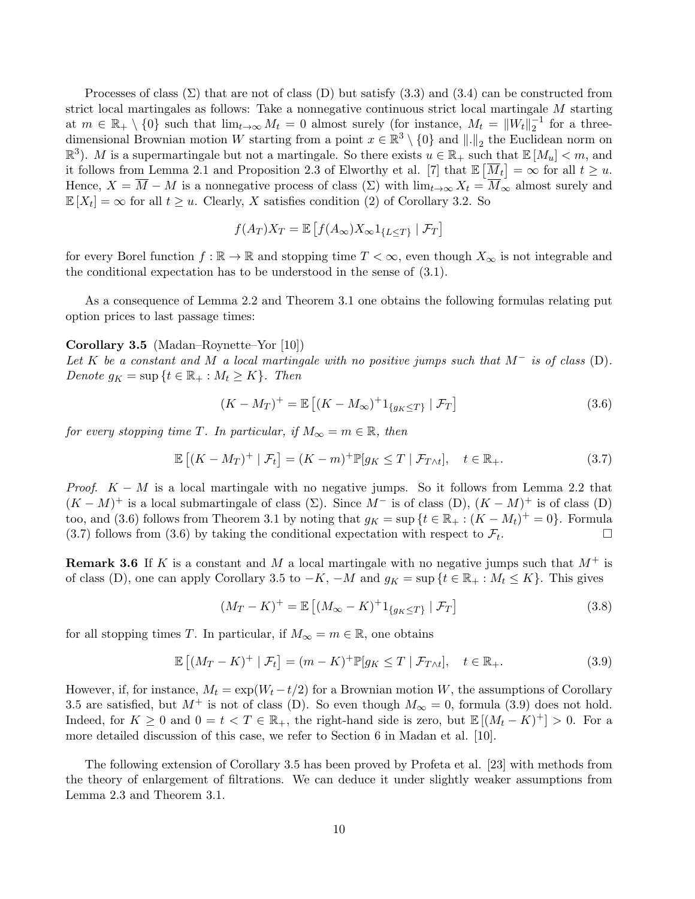Processes of class  $(\Sigma)$  that are not of class  $(D)$  but satisfy  $(3.3)$  and  $(3.4)$  can be constructed from strict local martingales as follows: Take a nonnegative continuous strict local martingale M starting at  $m \in \mathbb{R}_+ \setminus \{0\}$  such that  $\lim_{t\to\infty} M_t = 0$  almost surely (for instance,  $M_t = ||W_t||_2^{-1}$  $_2^{-1}$  for a threedimensional Brownian motion W starting from a point  $x \in \mathbb{R}^3 \setminus \{0\}$  and  $\|.\|_2$  the Euclidean norm on  $\mathbb{R}^3$ ). M is a supermartingale but not a martingale. So there exists  $u \in \mathbb{R}_+$  such that  $\mathbb{E}[M_u] < m$ , and it follows from Lemma 2.1 and Proposition 2.3 of Elworthy et al. [7] that  $\mathbb{E}[\overline{M}_t] = \infty$  for all  $t \ge u$ . Hence,  $X = \overline{M} - M$  is a nonnegative process of class  $(\Sigma)$  with  $\lim_{t\to\infty} X_t = \overline{M}_{\infty}$  almost surely and  $\mathbb{E}[X_t] = \infty$  for all  $t \geq u$ . Clearly, X satisfies condition (2) of Corollary 3.2. So

$$
f(A_T)X_T = \mathbb{E}\left[f(A_{\infty})X_{\infty}1_{\{L\leq T\}} \mid \mathcal{F}_T\right]
$$

for every Borel function  $f : \mathbb{R} \to \mathbb{R}$  and stopping time  $T < \infty$ , even though  $X_{\infty}$  is not integrable and the conditional expectation has to be understood in the sense of (3.1).

As a consequence of Lemma 2.2 and Theorem 3.1 one obtains the following formulas relating put option prices to last passage times:

Corollary 3.5 (Madan–Roynette–Yor [10])

Let K be a constant and M a local martingale with no positive jumps such that  $M^-$  is of class (D). Denote  $g_K = \sup \{ t \in \mathbb{R}_+ : M_t \geq K \}$ . Then

$$
(K - M_T)^+ = \mathbb{E}\left[ (K - M_\infty)^+ 1_{\{g_K \le T\}} \mid \mathcal{F}_T \right] \tag{3.6}
$$

for every stopping time T. In particular, if  $M_{\infty} = m \in \mathbb{R}$ , then

$$
\mathbb{E}\left[ (K - M_T)^+ \mid \mathcal{F}_t \right] = (K - m)^+ \mathbb{P}[g_K \le T \mid \mathcal{F}_{T \wedge t}], \quad t \in \mathbb{R}_+.
$$
\n(3.7)

*Proof.*  $K - M$  is a local martingale with no negative jumps. So it follows from Lemma 2.2 that  $(K-M)^+$  is a local submartingale of class  $(\Sigma)$ . Since  $M^-$  is of class  $(D)$ ,  $(K-M)^+$  is of class  $(D)$ too, and (3.6) follows from Theorem 3.1 by noting that  $g_K = \sup \{ t \in \mathbb{R}_+ : (K - M_t)^+ = 0 \}.$  Formula (3.7) follows from (3.6) by taking the conditional expectation with respect to  $\mathcal{F}_t$ . . — Первый профессиональный профессиональный профессиональный профессиональный профессиональный профессиональн<br>В 1990 году в 1990 году в 1990 году в 1990 году в 1990 году в 1990 году в 1990 году в 1990 году в 1990 году в<br>

**Remark 3.6** If K is a constant and M a local martingale with no negative jumps such that  $M^+$  is of class (D), one can apply Corollary 3.5 to  $-K$ ,  $-M$  and  $g_K = \sup \{t \in \mathbb{R}_+ : M_t \leq K\}$ . This gives

$$
(M_T - K)^+ = \mathbb{E}\left[ (M_\infty - K)^+ \mathbf{1}_{\{g_K \le T\}} \mid \mathcal{F}_T \right] \tag{3.8}
$$

for all stopping times T. In particular, if  $M_{\infty} = m \in \mathbb{R}$ , one obtains

$$
\mathbb{E}\left[\left(M_T - K\right)^{+} \mid \mathcal{F}_t\right] = (m - K)^{+} \mathbb{P}[g_K \le T \mid \mathcal{F}_{T \wedge t}], \quad t \in \mathbb{R}_{+}.
$$
\n(3.9)

However, if, for instance,  $M_t = \exp(W_t - t/2)$  for a Brownian motion W, the assumptions of Corollary 3.5 are satisfied, but  $M^+$  is not of class (D). So even though  $M_{\infty} = 0$ , formula (3.9) does not hold. Indeed, for  $K \geq 0$  and  $0 = t < T \in \mathbb{R}_+$ , the right-hand side is zero, but  $\mathbb{E}[(M_t - K)^+] > 0$ . For a more detailed discussion of this case, we refer to Section 6 in Madan et al. [10].

The following extension of Corollary 3.5 has been proved by Profeta et al. [23] with methods from the theory of enlargement of filtrations. We can deduce it under slightly weaker assumptions from Lemma 2.3 and Theorem 3.1.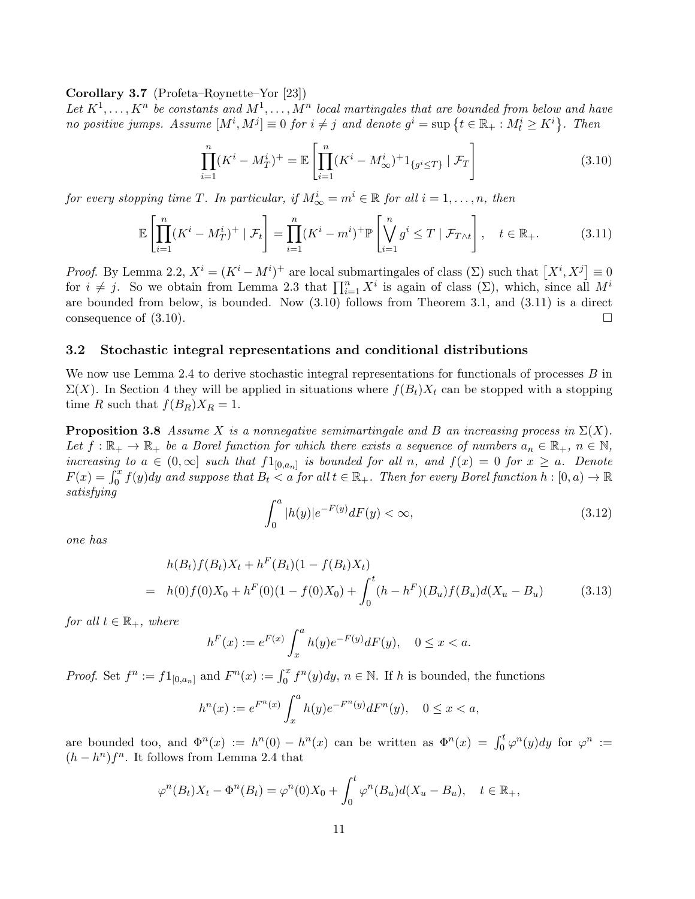Corollary 3.7 (Profeta–Roynette–Yor [23])

Let  $K^1, \ldots, K^n$  be constants and  $M^1, \ldots, M^n$  local martingales that are bounded from below and have no positive jumps. Assume  $[M^i, M^j] \equiv 0$  for  $i \neq j$  and denote  $g^i = \sup \{ t \in \mathbb{R}_+ : M^i_t \geq K^i \}$ . Then

$$
\prod_{i=1}^{n} (K^{i} - M_{T}^{i})^{+} = \mathbb{E} \left[ \prod_{i=1}^{n} (K^{i} - M_{\infty}^{i})^{+} 1_{\{g^{i} \leq T\}} \mid \mathcal{F}_{T} \right]
$$
\n(3.10)

for every stopping time T. In particular, if  $M^i_{\infty} = m^i \in \mathbb{R}$  for all  $i = 1, \ldots, n$ , then

$$
\mathbb{E}\left[\prod_{i=1}^{n}(K^{i}-M^{i}_{T})^{+} \mid \mathcal{F}_{t}\right] = \prod_{i=1}^{n}(K^{i}-m^{i})^{+}\mathbb{P}\left[\bigvee_{i=1}^{n}g^{i} \leq T \mid \mathcal{F}_{T\wedge t}\right], \quad t \in \mathbb{R}_{+}.
$$
 (3.11)

*Proof.* By Lemma 2.2,  $X^i = (K^i - M^i)^+$  are local submartingales of class  $(\Sigma)$  such that  $[X^i, X^j] \equiv 0$ for  $i \neq j$ . So we obtain from Lemma 2.3 that  $\prod_{i=1}^n X^i$  is again of class  $(\Sigma)$ , which, since all  $M^i$ are bounded from below, is bounded. Now (3.10) follows from Theorem 3.1, and (3.11) is a direct consequence of  $(3.10)$ .

### 3.2 Stochastic integral representations and conditional distributions

We now use Lemma 2.4 to derive stochastic integral representations for functionals of processes  $B$  in  $\Sigma(X)$ . In Section 4 they will be applied in situations where  $f(B_t)X_t$  can be stopped with a stopping time R such that  $f(B_R)X_R = 1$ .

**Proposition 3.8** Assume X is a nonnegative semimartingale and B an increasing process in  $\Sigma(X)$ . Let  $f: \mathbb{R}_+ \to \mathbb{R}_+$  be a Borel function for which there exists a sequence of numbers  $a_n \in \mathbb{R}_+$ ,  $n \in \mathbb{N}$ , increasing to  $a \in (0,\infty]$  such that  $f1_{[0,a_n]}$  is bounded for all n, and  $f(x) = 0$  for  $x \ge a$ . Denote  $F(x) = \int_0^x f(y)dy$  and suppose that  $B_t < a$  for all  $t \in \mathbb{R}_+$ . Then for every Borel function  $h : [0, a) \to \mathbb{R}$ satisfying

$$
\int_{0}^{a} |h(y)| e^{-F(y)} dF(y) < \infty,
$$
\n(3.12)

one has

$$
h(B_t)f(B_t)X_t + h^F(B_t)(1 - f(B_t)X_t)
$$
  
= 
$$
h(0)f(0)X_0 + h^F(0)(1 - f(0)X_0) + \int_0^t (h - h^F)(B_u)f(B_u)d(X_u - B_u)
$$
 (3.13)

for all  $t \in \mathbb{R}_+$ , where

$$
h^{F}(x) := e^{F(x)} \int_{x}^{a} h(y)e^{-F(y)}dF(y), \quad 0 \le x < a.
$$

*Proof.* Set  $f^n := f1_{[0,a_n]}$  and  $F^n(x) := \int_0^x f^n(y) dy$ ,  $n \in \mathbb{N}$ . If h is bounded, the functions

$$
h^{n}(x) := e^{F^{n}(x)} \int_{x}^{a} h(y)e^{-F^{n}(y)}dF^{n}(y), \quad 0 \le x < a,
$$

are bounded too, and  $\Phi^n(x) := h^n(0) - h^n(x)$  can be written as  $\Phi^n(x) = \int_0^t \varphi^n(y) dy$  for  $\varphi^n :=$  $(h - h^n)f^n$ . It follows from Lemma 2.4 that

$$
\varphi^n(B_t)X_t - \Phi^n(B_t) = \varphi^n(0)X_0 + \int_0^t \varphi^n(B_u)d(X_u - B_u), \quad t \in \mathbb{R}_+,
$$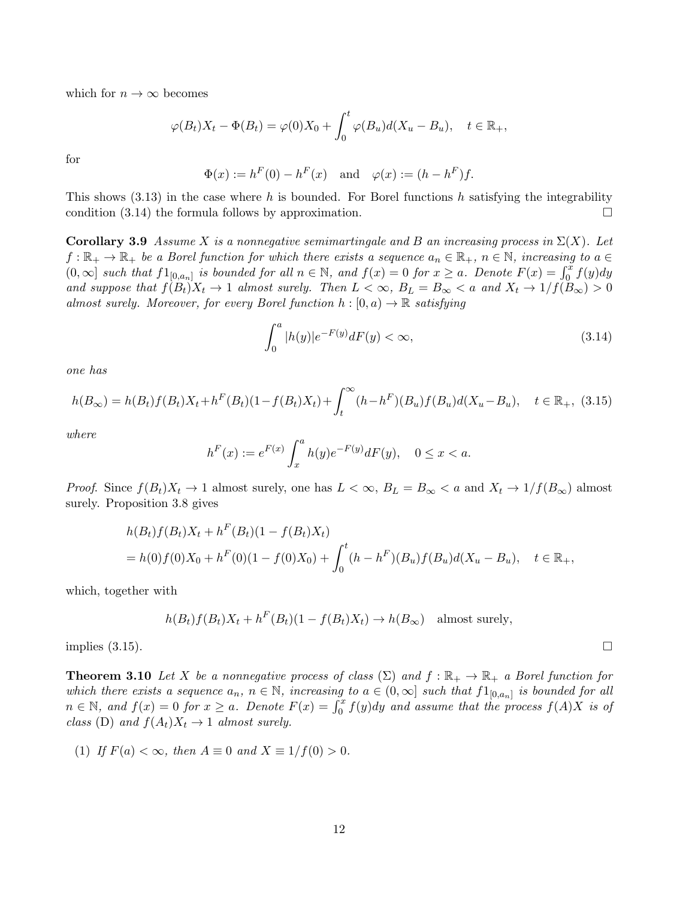which for  $n \to \infty$  becomes

$$
\varphi(B_t)X_t - \Phi(B_t) = \varphi(0)X_0 + \int_0^t \varphi(B_u)d(X_u - B_u), \quad t \in \mathbb{R}_+,
$$

for

$$
\Phi(x) := h^F(0) - h^F(x)
$$
 and  $\varphi(x) := (h - h^F)f$ .

This shows  $(3.13)$  in the case where h is bounded. For Borel functions h satisfying the integrability condition (3.14) the formula follows by approximation.  $\Box$ 

**Corollary 3.9** Assume X is a nonnegative semimartingale and B an increasing process in  $\Sigma(X)$ . Let  $f:\mathbb{R}_+\to\mathbb{R}_+$  be a Borel function for which there exists a sequence  $a_n\in\mathbb{R}_+$ ,  $n\in\mathbb{N}$ , increasing to  $a\in\mathbb{N}$  $(0,\infty]$  such that  $f1_{[0,a_n]}$  is bounded for all  $n \in \mathbb{N}$ , and  $f(x) = 0$  for  $x \ge a$ . Denote  $F(x) = \int_0^x f(y)dy$ and suppose that  $f(B_t)X_t \to 1$  almost surely. Then  $L < \infty$ ,  $B_L = B_{\infty} < a$  and  $X_t \to 1/f(B_{\infty}) > 0$ almost surely. Moreover, for every Borel function  $h : [0, a) \to \mathbb{R}$  satisfying

$$
\int_{0}^{a} |h(y)| e^{-F(y)} dF(y) < \infty,
$$
\n(3.14)

one has

$$
h(B_{\infty}) = h(B_t)f(B_t)X_t + h^F(B_t)(1 - f(B_t)X_t) + \int_t^{\infty} (h - h^F)(B_u)f(B_u)d(X_u - B_u), \quad t \in \mathbb{R}_+, \tag{3.15}
$$

where

$$
h^{F}(x) := e^{F(x)} \int_{x}^{a} h(y)e^{-F(y)}dF(y), \quad 0 \le x < a.
$$

*Proof.* Since  $f(B_t)X_t \to 1$  almost surely, one has  $L < \infty$ ,  $B_L = B_\infty < a$  and  $X_t \to 1/f(B_\infty)$  almost surely. Proposition 3.8 gives

$$
h(B_t)f(B_t)X_t + h^F(B_t)(1 - f(B_t)X_t)
$$
  
=  $h(0)f(0)X_0 + h^F(0)(1 - f(0)X_0) + \int_0^t (h - h^F)(B_u)f(B_u)d(X_u - B_u), \quad t \in \mathbb{R}_+,$ 

which, together with

$$
h(B_t)f(B_t)X_t + h^F(B_t)(1 - f(B_t)X_t) \to h(B_\infty)
$$
 almost surely,

implies  $(3.15)$ .

**Theorem 3.10** Let X be a nonnegative process of class  $(\Sigma)$  and  $f : \mathbb{R}_+ \to \mathbb{R}_+$  a Borel function for which there exists a sequence  $a_n, n \in \mathbb{N}$ , increasing to  $a \in (0,\infty]$  such that  $f1_{[0,a_n]}$  is bounded for all  $n \in \mathbb{N}$ , and  $f(x) = 0$  for  $x \ge a$ . Denote  $F(x) = \int_0^x f(y) dy$  and assume that the process  $f(A)X$  is of class (D) and  $f(A_t)X_t \to 1$  almost surely.

(1) If 
$$
F(a) < \infty
$$
, then  $A \equiv 0$  and  $X \equiv 1/f(0) > 0$ .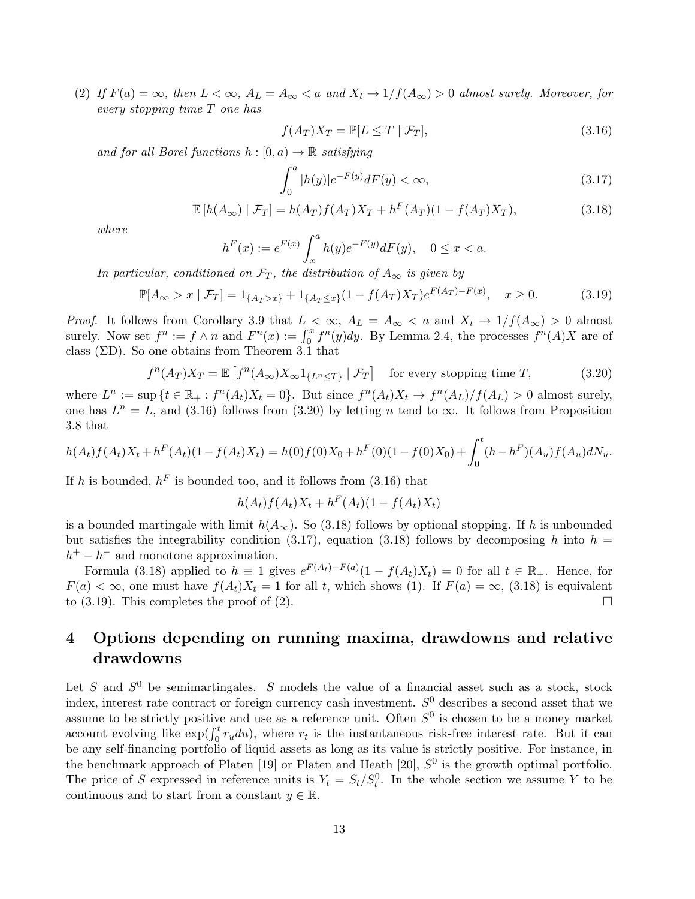(2) If  $F(a) = \infty$ , then  $L < \infty$ ,  $A_L = A_\infty < a$  and  $X_t \to 1/f(A_\infty) > 0$  almost surely. Moreover, for every stopping time T one has

$$
f(A_T)X_T = \mathbb{P}[L \le T \mid \mathcal{F}_T],\tag{3.16}
$$

and for all Borel functions  $h : [0, a) \to \mathbb{R}$  satisfying

$$
\int_{0}^{a} |h(y)| e^{-F(y)} dF(y) < \infty,
$$
\n(3.17)

$$
\mathbb{E}\left[h(A_{\infty})\mid \mathcal{F}_T\right] = h(A_T)f(A_T)X_T + h^F(A_T)(1 - f(A_T)X_T),\tag{3.18}
$$

where

$$
h^{F}(x) := e^{F(x)} \int_{x}^{a} h(y)e^{-F(y)}dF(y), \quad 0 \le x < a.
$$

In particular, conditioned on  $\mathcal{F}_T$ , the distribution of  $A_{\infty}$  is given by

$$
\mathbb{P}[A_{\infty} > x \mid \mathcal{F}_T] = 1_{\{A_T > x\}} + 1_{\{A_T \le x\}} (1 - f(A_T)X_T) e^{F(A_T) - F(x)}, \quad x \ge 0.
$$
 (3.19)

*Proof.* It follows from Corollary 3.9 that  $L < \infty$ ,  $A_L = A_\infty < a$  and  $X_t \to 1/f(A_\infty) > 0$  almost surely. Now set  $f^n := f \wedge n$  and  $F^n(x) := \int_0^x f^n(y) dy$ . By Lemma 2.4, the processes  $f^n(A)X$  are of class  $(2D)$ . So one obtains from Theorem 3.1 that

$$
f^{n}(A_{T})X_{T} = \mathbb{E}\left[f^{n}(A_{\infty})X_{\infty}1_{\{L^{n}\leq T\}} \mid \mathcal{F}_{T}\right] \text{ for every stopping time } T,
$$
\n(3.20)

where  $L^n := \sup \{t \in \mathbb{R}_+ : f^n(A_t)X_t = 0\}$ . But since  $f^n(A_t)X_t \to f^n(A_t)/f(A_t) > 0$  almost surely, one has  $L^n = L$ , and (3.16) follows from (3.20) by letting n tend to  $\infty$ . It follows from Proposition 3.8 that

$$
h(A_t)f(A_t)X_t + h^F(A_t)(1 - f(A_t)X_t) = h(0)f(0)X_0 + h^F(0)(1 - f(0)X_0) + \int_0^t (h - h^F)(A_u)f(A_u)dN_u.
$$

If h is bounded,  $h^F$  is bounded too, and it follows from (3.16) that

$$
h(A_t)f(A_t)X_t + h^F(A_t)(1 - f(A_t)X_t)
$$

is a bounded martingale with limit  $h(A_{\infty})$ . So (3.18) follows by optional stopping. If h is unbounded but satisfies the integrability condition (3.17), equation (3.18) follows by decomposing h into  $h =$  $h^+ - h^-$  and monotone approximation.

Formula (3.18) applied to  $h \equiv 1$  gives  $e^{F(A_t)-F(a)}(1-f(A_t)X_t) = 0$  for all  $t \in \mathbb{R}_+$ . Hence, for  $F(a) < \infty$ , one must have  $f(A_t)X_t = 1$  for all t, which shows (1). If  $F(a) = \infty$ , (3.18) is equivalent to (3.19). This completes the proof of (2).

# 4 Options depending on running maxima, drawdowns and relative drawdowns

Let S and  $S^0$  be semimartingales. S models the value of a financial asset such as a stock, stock index, interest rate contract or foreign currency cash investment.  $S^0$  describes a second asset that we assume to be strictly positive and use as a reference unit. Often  $S^0$  is chosen to be a money market account evolving like  $\exp(\int_0^t r_u du)$ , where  $r_t$  is the instantaneous risk-free interest rate. But it can be any self-financing portfolio of liquid assets as long as its value is strictly positive. For instance, in the benchmark approach of Platen  $[19]$  or Platen and Heath  $[20]$ ,  $S^0$  is the growth optimal portfolio. The price of S expressed in reference units is  $Y_t = S_t/S_t^0$ . In the whole section we assume Y to be continuous and to start from a constant  $y \in \mathbb{R}$ .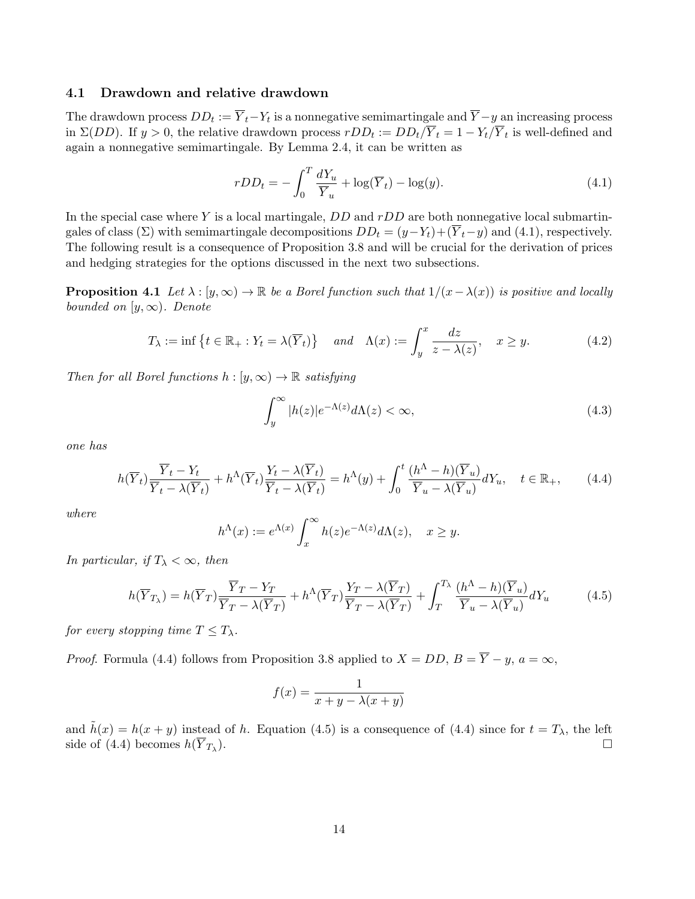### 4.1 Drawdown and relative drawdown

The drawdown process  $DD_t := \overline{Y}_t - Y_t$  is a nonnegative semimartingale and  $\overline{Y} - y$  an increasing process in  $\Sigma(DD)$ . If  $y > 0$ , the relative drawdown process  $rDD_t := DD_t/\overline{Y}_t = 1 - Y_t/\overline{Y}_t$  is well-defined and again a nonnegative semimartingale. By Lemma 2.4, it can be written as

$$
rDD_t = -\int_0^T \frac{dY_u}{\overline{Y}_u} + \log(\overline{Y}_t) - \log(y). \tag{4.1}
$$

In the special case where Y is a local martingale,  $DD$  and  $rDD$  are both nonnegative local submartingales of class (∑) with semimartingale decompositions  $DD_t = (y-Y_t)+(\overline{Y}_t-y)$  and (4.1), respectively. The following result is a consequence of Proposition 3.8 and will be crucial for the derivation of prices and hedging strategies for the options discussed in the next two subsections.

**Proposition 4.1** Let  $\lambda : [y, \infty) \to \mathbb{R}$  be a Borel function such that  $1/(x-\lambda(x))$  is positive and locally bounded on [y,  $\infty$ ). Denote

$$
T_{\lambda} := \inf \left\{ t \in \mathbb{R}_+ : Y_t = \lambda(\overline{Y}_t) \right\} \quad and \quad \Lambda(x) := \int_y^x \frac{dz}{z - \lambda(z)}, \quad x \ge y. \tag{4.2}
$$

Then for all Borel functions  $h : [y, \infty) \to \mathbb{R}$  satisfying

$$
\int_{y}^{\infty} |h(z)| e^{-\Lambda(z)} d\Lambda(z) < \infty,\tag{4.3}
$$

one has

$$
h(\overline{Y}_t)\frac{\overline{Y}_t - Y_t}{\overline{Y}_t - \lambda(\overline{Y}_t)} + h^{\Lambda}(\overline{Y}_t)\frac{Y_t - \lambda(\overline{Y}_t)}{\overline{Y}_t - \lambda(\overline{Y}_t)} = h^{\Lambda}(y) + \int_0^t \frac{(h^{\Lambda} - h)(\overline{Y}_u)}{\overline{Y}_u - \lambda(\overline{Y}_u)}dY_u, \quad t \in \mathbb{R}_+, \tag{4.4}
$$

where

$$
h^{\Lambda}(x) := e^{\Lambda(x)} \int_x^{\infty} h(z)e^{-\Lambda(z)}d\Lambda(z), \quad x \ge y.
$$

In particular, if  $T_{\lambda} < \infty$ , then

$$
h(\overline{Y}_{T_{\lambda}}) = h(\overline{Y}_{T}) \frac{\overline{Y}_{T} - Y_{T}}{\overline{Y}_{T} - \lambda(\overline{Y}_{T})} + h^{\Lambda}(\overline{Y}_{T}) \frac{Y_{T} - \lambda(\overline{Y}_{T})}{\overline{Y}_{T} - \lambda(\overline{Y}_{T})} + \int_{T}^{T_{\lambda}} \frac{(h^{\Lambda} - h)(\overline{Y}_{u})}{\overline{Y}_{u} - \lambda(\overline{Y}_{u})} dY_{u}
$$
(4.5)

for every stopping time  $T \leq T_{\lambda}$ .

*Proof.* Formula (4.4) follows from Proposition 3.8 applied to  $X = DD$ ,  $B = \overline{Y} - y$ ,  $a = \infty$ ,

$$
f(x) = \frac{1}{x + y - \lambda(x + y)}
$$

and  $\tilde{h}(x) = h(x + y)$  instead of h. Equation (4.5) is a consequence of (4.4) since for  $t = T_{\lambda}$ , the left side of (4.4) becomes  $h(\overline{Y}_{T_{\lambda}})$ . ).  $\Box$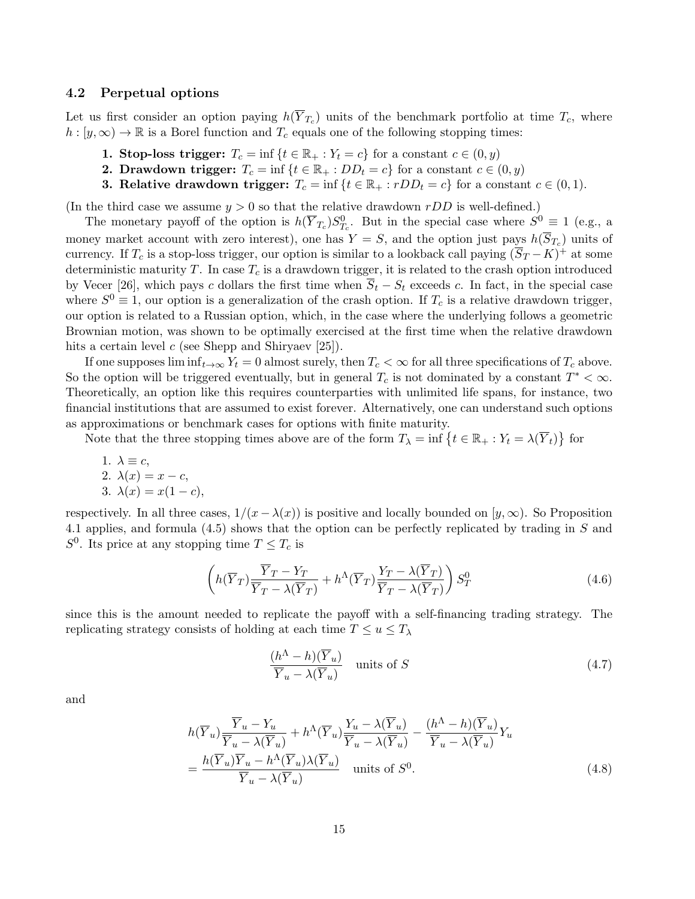### 4.2 Perpetual options

Let us first consider an option paying  $h(\overline{Y}_{T_c})$  units of the benchmark portfolio at time  $T_c$ , where  $h : [y, \infty) \to \mathbb{R}$  is a Borel function and  $T_c$  equals one of the following stopping times:

- 1. Stop-loss trigger:  $T_c = \inf \{ t \in \mathbb{R}_+ : Y_t = c \}$  for a constant  $c \in (0, y)$
- 2. Drawdown trigger:  $T_c = \inf \{ t \in \mathbb{R}_+ : DD_t = c \}$  for a constant  $c \in (0, y)$
- **3. Relative drawdown trigger:**  $T_c = \inf \{ t \in \mathbb{R}_+ : rDD_t = c \}$  for a constant  $c \in (0,1)$ .

(In the third case we assume  $y > 0$  so that the relative drawdown rDD is well-defined.)

The monetary payoff of the option is  $h(\overline{Y}_{T_c})S_{T_c}^0$ . But in the special case where  $S^0 \equiv 1$  (e.g., a money market account with zero interest), one has  $Y = S$ , and the option just pays  $h(S_{T_c})$  units of currency. If  $T_c$  is a stop-loss trigger, our option is similar to a lookback call paying  $(\overline{S}_T - K)^+$  at some deterministic maturity T. In case  $T_c$  is a drawdown trigger, it is related to the crash option introduced by Vecer [26], which pays c dollars the first time when  $\overline{S}_t - S_t$  exceeds c. In fact, in the special case where  $S^0 \equiv 1$ , our option is a generalization of the crash option. If  $T_c$  is a relative drawdown trigger, our option is related to a Russian option, which, in the case where the underlying follows a geometric Brownian motion, was shown to be optimally exercised at the first time when the relative drawdown hits a certain level  $c$  (see Shepp and Shiryaev [25]).

If one supposes  $\liminf_{t\to\infty} Y_t = 0$  almost surely, then  $T_c < \infty$  for all three specifications of  $T_c$  above. So the option will be triggered eventually, but in general  $T_c$  is not dominated by a constant  $T^* < \infty$ . Theoretically, an option like this requires counterparties with unlimited life spans, for instance, two financial institutions that are assumed to exist forever. Alternatively, one can understand such options as approximations or benchmark cases for options with finite maturity.

Note that the three stopping times above are of the form  $T_{\lambda} = \inf \{ t \in \mathbb{R}_+ : Y_t = \lambda(\overline{Y}_t) \}$  for

1. 
$$
\lambda \equiv c
$$
, \n2.  $\lambda(x) = x - c$ , \n3.  $\lambda(x) = x(1 - c)$ ,

respectively. In all three cases,  $1/(x - \lambda(x))$  is positive and locally bounded on [y,  $\infty$ ). So Proposition 4.1 applies, and formula (4.5) shows that the option can be perfectly replicated by trading in S and  $S^0$ . Its price at any stopping time  $T \leq T_c$  is

$$
\left(h(\overline{Y}_T)\frac{\overline{Y}_T - Y_T}{\overline{Y}_T - \lambda(\overline{Y}_T)} + h^{\Lambda}(\overline{Y}_T)\frac{Y_T - \lambda(\overline{Y}_T)}{\overline{Y}_T - \lambda(\overline{Y}_T)}\right)S_T^0\tag{4.6}
$$

since this is the amount needed to replicate the payoff with a self-financing trading strategy. The replicating strategy consists of holding at each time  $T \le u \le T_\lambda$ 

$$
\frac{(h^{\Lambda} - h)(\overline{Y}_{u})}{\overline{Y}_{u} - \lambda(\overline{Y}_{u})}
$$
 units of *S* (4.7)

and

$$
h(\overline{Y}_u) \frac{\overline{Y}_u - Y_u}{\overline{Y}_u - \lambda(\overline{Y}_u)} + h^{\Lambda}(\overline{Y}_u) \frac{Y_u - \lambda(\overline{Y}_u)}{\overline{Y}_u - \lambda(\overline{Y}_u)} - \frac{(h^{\Lambda} - h)(\overline{Y}_u)}{\overline{Y}_u - \lambda(\overline{Y}_u)} Y_u
$$
  
= 
$$
\frac{h(\overline{Y}_u)\overline{Y}_u - h^{\Lambda}(\overline{Y}_u)\lambda(\overline{Y}_u)}{\overline{Y}_u - \lambda(\overline{Y}_u)} \quad \text{units of } S^0.
$$
 (4.8)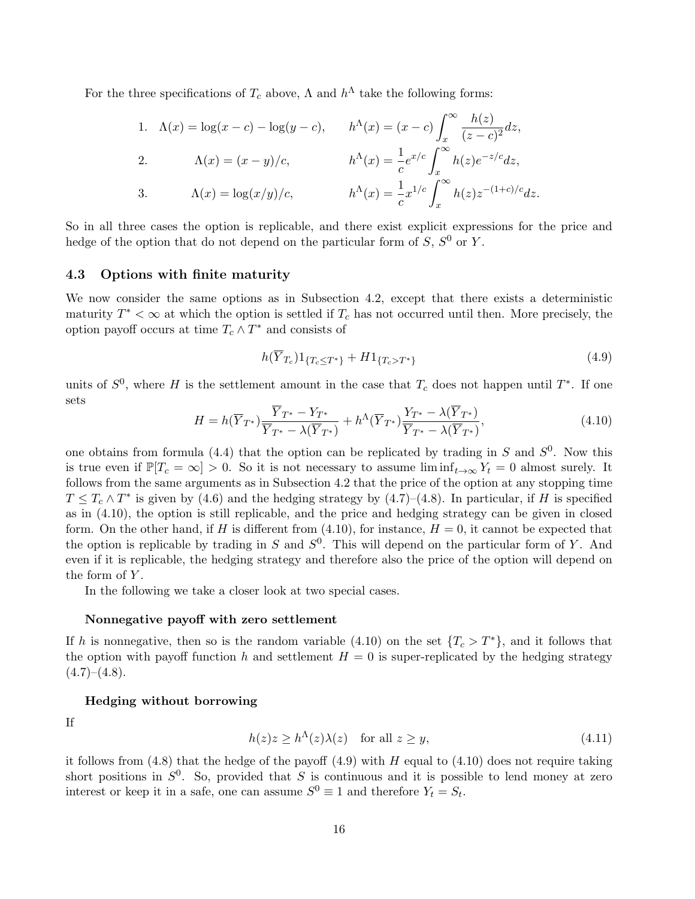For the three specifications of  $T_c$  above,  $\Lambda$  and  $h^{\Lambda}$  take the following forms:

1. 
$$
\Lambda(x) = \log(x - c) - \log(y - c), \qquad h^{\Lambda}(x) = (x - c) \int_x^{\infty} \frac{h(z)}{(z - c)^2} dz,
$$
  
\n2. 
$$
\Lambda(x) = (x - y)/c, \qquad h^{\Lambda}(x) = \frac{1}{c} e^{x/c} \int_x^{\infty} h(z) e^{-z/c} dz,
$$
  
\n3. 
$$
\Lambda(x) = \log(x/y)/c, \qquad h^{\Lambda}(x) = \frac{1}{c} x^{1/c} \int_x^{\infty} h(z) z^{-(1+c)/c} dz.
$$

So in all three cases the option is replicable, and there exist explicit expressions for the price and hedge of the option that do not depend on the particular form of  $S, S^0$  or Y.

#### 4.3 Options with finite maturity

We now consider the same options as in Subsection 4.2, except that there exists a deterministic maturity  $T^* < \infty$  at which the option is settled if  $T_c$  has not occurred until then. More precisely, the option payoff occurs at time  $T_c \wedge T^*$  and consists of

$$
h(\overline{Y}_{T_c})1_{\{T_c \le T^*\}} + H1_{\{T_c > T^*\}} \tag{4.9}
$$

units of  $S^0$ , where H is the settlement amount in the case that  $T_c$  does not happen until  $T^*$ . If one sets

$$
H = h(\overline{Y}_{T^*}) \frac{\overline{Y}_{T^*} - Y_{T^*}}{\overline{Y}_{T^*} - \lambda(\overline{Y}_{T^*})} + h^{\Lambda}(\overline{Y}_{T^*}) \frac{Y_{T^*} - \lambda(\overline{Y}_{T^*})}{\overline{Y}_{T^*} - \lambda(\overline{Y}_{T^*})},
$$
(4.10)

one obtains from formula (4.4) that the option can be replicated by trading in S and  $S^0$ . Now this is true even if  $\mathbb{P}[T_c = \infty] > 0$ . So it is not necessary to assume  $\liminf_{t\to\infty} Y_t = 0$  almost surely. It follows from the same arguments as in Subsection 4.2 that the price of the option at any stopping time  $T \leq T_c \wedge T^*$  is given by (4.6) and the hedging strategy by (4.7)–(4.8). In particular, if H is specified as in (4.10), the option is still replicable, and the price and hedging strategy can be given in closed form. On the other hand, if H is different from (4.10), for instance,  $H = 0$ , it cannot be expected that the option is replicable by trading in  $S$  and  $S^0$ . This will depend on the particular form of Y. And even if it is replicable, the hedging strategy and therefore also the price of the option will depend on the form of  $Y$ .

In the following we take a closer look at two special cases.

#### Nonnegative payoff with zero settlement

If h is nonnegative, then so is the random variable (4.10) on the set  $\{T_c > T^*\}$ , and it follows that the option with payoff function h and settlement  $H = 0$  is super-replicated by the hedging strategy  $(4.7)–(4.8).$ 

#### Hedging without borrowing

If

$$
h(z)z \ge h^{\Lambda}(z)\lambda(z) \quad \text{for all } z \ge y,
$$
\n
$$
(4.11)
$$

it follows from  $(4.8)$  that the hedge of the payoff  $(4.9)$  with H equal to  $(4.10)$  does not require taking short positions in  $S^0$ . So, provided that S is continuous and it is possible to lend money at zero interest or keep it in a safe, one can assume  $S^0 \equiv 1$  and therefore  $Y_t = S_t$ .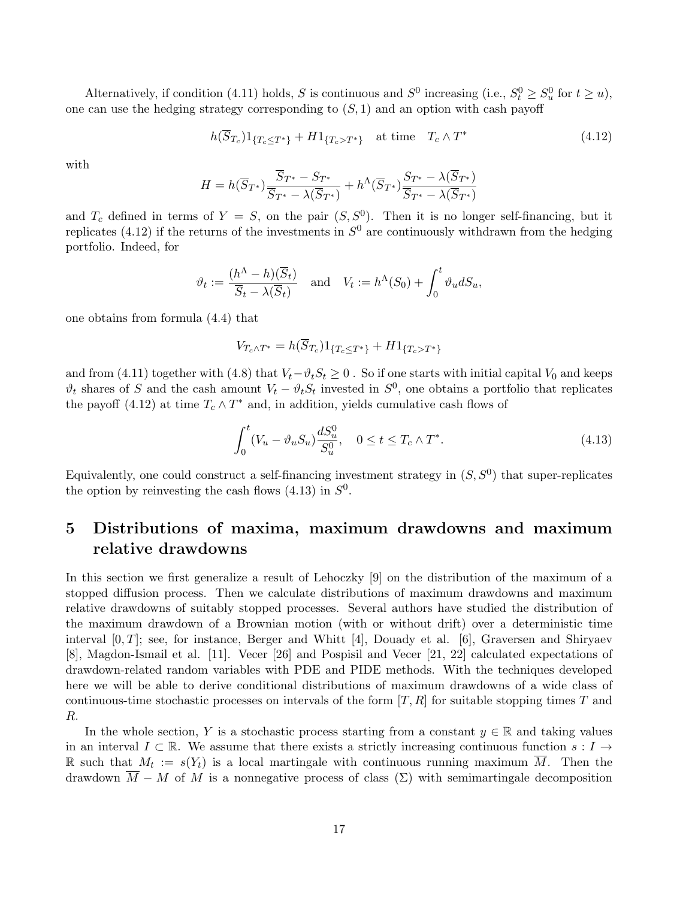Alternatively, if condition (4.11) holds, S is continuous and S<sup>0</sup> increasing (i.e.,  $S_t^0 \geq S_u^0$  for  $t \geq u$ ), one can use the hedging strategy corresponding to  $(S, 1)$  and an option with cash payoff

$$
h(\overline{S}_{T_c})1_{\{T_c \le T^*\}} + H1_{\{T_c > T^*\}} \quad \text{at time} \quad T_c \wedge T^* \tag{4.12}
$$

with

$$
H = h(\overline{S}_{T^*}) \frac{\overline{S}_{T^*} - S_{T^*}}{\overline{S}_{T^*} - \lambda(\overline{S}_{T^*})} + h^{\Lambda}(\overline{S}_{T^*}) \frac{S_{T^*} - \lambda(\overline{S}_{T^*})}{\overline{S}_{T^*} - \lambda(\overline{S}_{T^*})}
$$

and  $T_c$  defined in terms of  $Y = S$ , on the pair  $(S, S^0)$ . Then it is no longer self-financing, but it replicates (4.12) if the returns of the investments in  $S^0$  are continuously withdrawn from the hedging portfolio. Indeed, for

$$
\vartheta_t := \frac{(h^{\Lambda} - h)(\overline{S}_t)}{\overline{S}_t - \lambda(\overline{S}_t)} \quad \text{and} \quad V_t := h^{\Lambda}(S_0) + \int_0^t \vartheta_u dS_u,
$$

one obtains from formula (4.4) that

$$
V_{T_c \wedge T^*} = h(\overline{S}_{T_c}) 1_{\{T_c \le T^*\}} + H 1_{\{T_c > T^*\}}
$$

and from (4.11) together with (4.8) that  $V_t - \vartheta_t S_t \geq 0$ . So if one starts with initial capital  $V_0$  and keeps  $\vartheta_t$  shares of S and the cash amount  $V_t - \vartheta_t S_t$  invested in  $S^0$ , one obtains a portfolio that replicates the payoff (4.12) at time  $T_c \wedge T^*$  and, in addition, yields cumulative cash flows of

$$
\int_0^t (V_u - \vartheta_u S_u) \frac{dS_u^0}{S_u^0}, \quad 0 \le t \le T_c \wedge T^*.
$$
\n(4.13)

Equivalently, one could construct a self-financing investment strategy in  $(S, S^0)$  that super-replicates the option by reinvesting the cash flows  $(4.13)$  in  $S^0$ .

# 5 Distributions of maxima, maximum drawdowns and maximum relative drawdowns

In this section we first generalize a result of Lehoczky [9] on the distribution of the maximum of a stopped diffusion process. Then we calculate distributions of maximum drawdowns and maximum relative drawdowns of suitably stopped processes. Several authors have studied the distribution of the maximum drawdown of a Brownian motion (with or without drift) over a deterministic time interval  $[0, T]$ ; see, for instance, Berger and Whitt  $[4]$ , Douady et al.  $[6]$ , Graversen and Shiryaev [8], Magdon-Ismail et al. [11]. Vecer [26] and Pospisil and Vecer [21, 22] calculated expectations of drawdown-related random variables with PDE and PIDE methods. With the techniques developed here we will be able to derive conditional distributions of maximum drawdowns of a wide class of continuous-time stochastic processes on intervals of the form  $[T, R]$  for suitable stopping times T and R.

In the whole section, Y is a stochastic process starting from a constant  $y \in \mathbb{R}$  and taking values in an interval  $I \subset \mathbb{R}$ . We assume that there exists a strictly increasing continuous function  $s: I \to$ R such that  $M_t := s(Y_t)$  is a local martingale with continuous running maximum  $\overline{M}$ . Then the drawdown  $\overline{M}$  – M of M is a nonnegative process of class  $(\Sigma)$  with semimartingale decomposition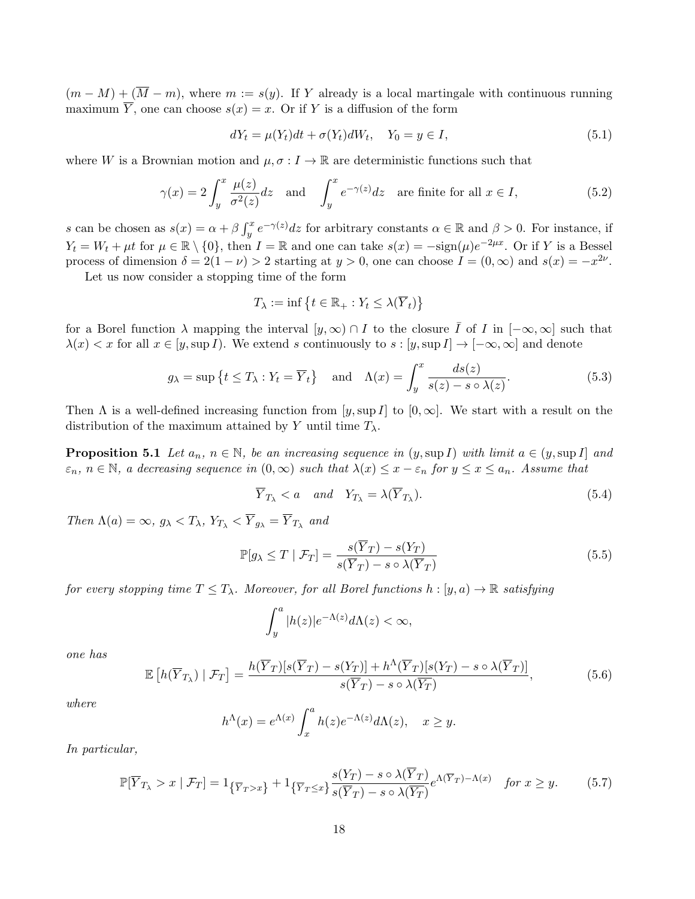$(m-M) + (\overline{M} - m)$ , where  $m := s(y)$ . If Y already is a local martingale with continuous running maximum  $\overline{Y}$ , one can choose  $s(x) = x$ . Or if Y is a diffusion of the form

$$
dY_t = \mu(Y_t)dt + \sigma(Y_t)dW_t, \quad Y_0 = y \in I,
$$
\n
$$
(5.1)
$$

where W is a Brownian motion and  $\mu, \sigma : I \to \mathbb{R}$  are deterministic functions such that

$$
\gamma(x) = 2 \int_y^x \frac{\mu(z)}{\sigma^2(z)} dz \quad \text{and} \quad \int_y^x e^{-\gamma(z)} dz \quad \text{are finite for all } x \in I,
$$
 (5.2)

s can be chosen as  $s(x) = \alpha + \beta \int_y^x e^{-\gamma(z)} dz$  for arbitrary constants  $\alpha \in \mathbb{R}$  and  $\beta > 0$ . For instance, if  $Y_t = W_t + \mu t$  for  $\mu \in \mathbb{R} \setminus \{0\}$ , then  $I = \mathbb{R}$  and one can take  $s(x) = -\text{sign}(\mu)e^{-2\mu x}$ . Or if Y is a Bessel process of dimension  $\delta = 2(1 - \nu) > 2$  starting at  $y > 0$ , one can choose  $I = (0, \infty)$  and  $s(x) = -x^{2\nu}$ .

Let us now consider a stopping time of the form

$$
T_{\lambda} := \inf \left\{ t \in \mathbb{R}_+ : Y_t \leq \lambda(\overline{Y}_t) \right\}
$$

for a Borel function  $\lambda$  mapping the interval  $[y,\infty) \cap I$  to the closure  $\overline{I}$  of I in  $[-\infty,\infty]$  such that  $\lambda(x) < x$  for all  $x \in [y, \sup I)$ . We extend s continuously to  $s : [y, \sup I] \to [-\infty, \infty]$  and denote

$$
g_{\lambda} = \sup \{ t \le T_{\lambda} : Y_t = \overline{Y}_t \} \quad \text{and} \quad \Lambda(x) = \int_y^x \frac{ds(z)}{s(z) - s \circ \lambda(z)}.
$$
 (5.3)

Then  $\Lambda$  is a well-defined increasing function from [y, sup I] to [0,  $\infty$ ]. We start with a result on the distribution of the maximum attained by Y until time  $T_{\lambda}$ .

**Proposition 5.1** Let  $a_n$ ,  $n \in \mathbb{N}$ , be an increasing sequence in  $(y, \sup I)$  with limit  $a \in (y, \sup I]$  and  $\varepsilon_n$ ,  $n \in \mathbb{N}$ , a decreasing sequence in  $(0, \infty)$  such that  $\lambda(x) \leq x - \varepsilon_n$  for  $y \leq x \leq a_n$ . Assume that

$$
\overline{Y}_{T_{\lambda}} < a \quad and \quad Y_{T_{\lambda}} = \lambda(\overline{Y}_{T_{\lambda}}). \tag{5.4}
$$

Then  $\Lambda(a) = \infty$ ,  $g_{\lambda} < T_{\lambda}$ ,  $Y_{T_{\lambda}} < Y_{g_{\lambda}} = Y_{T_{\lambda}}$  and

$$
\mathbb{P}[g_{\lambda} \leq T \mid \mathcal{F}_T] = \frac{s(\overline{Y}_T) - s(Y_T)}{s(\overline{Y}_T) - s \circ \lambda(\overline{Y}_T)}\tag{5.5}
$$

for every stopping time  $T \leq T_{\lambda}$ . Moreover, for all Borel functions  $h : [y, a) \to \mathbb{R}$  satisfying

$$
\int_{y}^{a} |h(z)| e^{-\Lambda(z)} d\Lambda(z) < \infty,
$$

one has

$$
\mathbb{E}\left[h(\overline{Y}_{T_{\lambda}}) \mid \mathcal{F}_{T}\right] = \frac{h(\overline{Y}_{T})[s(\overline{Y}_{T}) - s(Y_{T})] + h^{\Lambda}(\overline{Y}_{T})[s(Y_{T}) - s \circ \lambda(\overline{Y}_{T})]}{s(\overline{Y}_{T}) - s \circ \lambda(\overline{Y}_{T})},\tag{5.6}
$$

where

$$
h^{\Lambda}(x) = e^{\Lambda(x)} \int_{x}^{a} h(z)e^{-\Lambda(z)}d\Lambda(z), \quad x \ge y.
$$

In particular,

$$
\mathbb{P}[\overline{Y}_{T_{\lambda}} > x \mid \mathcal{F}_T] = 1_{\{\overline{Y}_T > x\}} + 1_{\{\overline{Y}_T \le x\}} \frac{s(Y_T) - s \circ \lambda(Y_T)}{s(\overline{Y}_T) - s \circ \lambda(\overline{Y}_T)} e^{\Lambda(\overline{Y}_T) - \Lambda(x)} \quad \text{for } x \ge y. \tag{5.7}
$$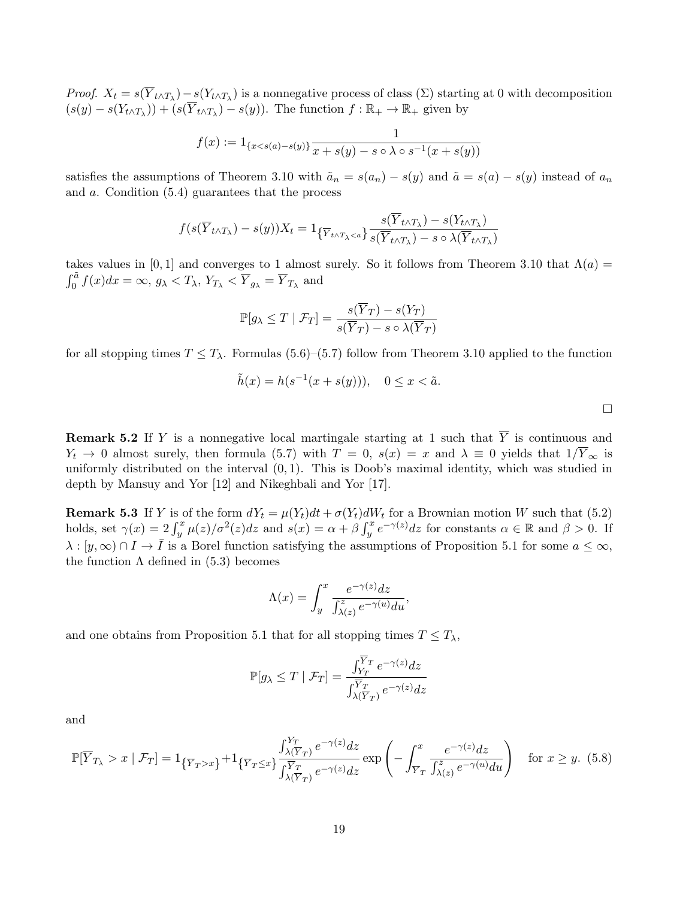*Proof.*  $X_t = s(\overline{Y}_{t \wedge T_\lambda}) - s(Y_{t \wedge T_\lambda})$  is a nonnegative process of class  $(\Sigma)$  starting at 0 with decomposition  $(s(y) - s(Y_{t \wedge T_{\lambda}})) + (s(\overline{Y}_{t \wedge T_{\lambda}}) - s(y)).$  The function  $f : \mathbb{R}_{+} \to \mathbb{R}_{+}$  given by

$$
f(x) := 1_{\{x < s(a) - s(y)\}} \frac{1}{x + s(y) - s \circ \lambda \circ s^{-1}(x + s(y))}
$$

satisfies the assumptions of Theorem 3.10 with  $\tilde{a}_n = s(a_n) - s(y)$  and  $\tilde{a} = s(a) - s(y)$  instead of  $a_n$ and a. Condition (5.4) guarantees that the process

$$
f(s(\overline{Y}_{t\wedge T_{\lambda}}) - s(y))X_t = 1_{\{\overline{Y}_{t\wedge T_{\lambda}
$$

takes values in [0, 1] and converges to 1 almost surely. So it follows from Theorem 3.10 that  $\Lambda(a)$  =  $\int_0^{\tilde{a}} f(x)dx = \infty$ ,  $g_{\lambda} < T_{\lambda}$ ,  $Y_{T_{\lambda}} < \overline{Y}_{g_{\lambda}} = \overline{Y}_{T_{\lambda}}$  and

$$
\mathbb{P}[g_{\lambda} \leq T \mid \mathcal{F}_T] = \frac{s(\overline{Y}_T) - s(Y_T)}{s(\overline{Y}_T) - s \circ \lambda(\overline{Y}_T)}
$$

for all stopping times  $T \leq T_{\lambda}$ . Formulas (5.6)–(5.7) follow from Theorem 3.10 applied to the function

$$
\tilde{h}(x) = h(s^{-1}(x + s(y))), \quad 0 \le x < \tilde{a}.
$$

**Remark 5.2** If Y is a nonnegative local martingale starting at 1 such that  $\overline{Y}$  is continuous and  $Y_t \to 0$  almost surely, then formula (5.7) with  $T = 0$ ,  $s(x) = x$  and  $\lambda \equiv 0$  yields that  $1/\overline{Y}_{\infty}$  is uniformly distributed on the interval  $(0, 1)$ . This is Doob's maximal identity, which was studied in depth by Mansuy and Yor [12] and Nikeghbali and Yor [17].

**Remark 5.3** If Y is of the form  $dY_t = \mu(Y_t)dt + \sigma(Y_t)dW_t$  for a Brownian motion W such that (5.2) holds, set  $\gamma(x) = 2 \int_y^x \mu(z) / \sigma^2(z) dz$  and  $s(x) = \alpha + \beta \int_y^x e^{-\gamma(z)} dz$  for constants  $\alpha \in \mathbb{R}$  and  $\beta > 0$ . If  $\lambda : [y, \infty) \cap I \to \overline{I}$  is a Borel function satisfying the assumptions of Proposition 5.1 for some  $a \leq \infty$ , the function  $\Lambda$  defined in (5.3) becomes

$$
\Lambda(x) = \int_{y}^{x} \frac{e^{-\gamma(z)}dz}{\int_{\lambda(z)}^{z} e^{-\gamma(u)}du},
$$

and one obtains from Proposition 5.1 that for all stopping times  $T \leq T_{\lambda}$ ,

$$
\mathbb{P}[g_{\lambda} \leq T \mid \mathcal{F}_T] = \frac{\int_{Y_T}^{\overline{Y}_T} e^{-\gamma(z)} dz}{\int_{\lambda(\overline{Y}_T)}^{\overline{Y}_T} e^{-\gamma(z)} dz}
$$

and

$$
\mathbb{P}[\overline{Y}_{T_{\lambda}} > x \mid \mathcal{F}_T] = 1_{\{\overline{Y}_T > x\}} + 1_{\{\overline{Y}_T \le x\}} \frac{\int_{\lambda(\overline{Y}_T)}^{Y_T} e^{-\gamma(z)} dz}{\int_{\lambda(\overline{Y}_T)}^{\overline{Y}_T} e^{-\gamma(z)} dz} \exp\left(-\int_{\overline{Y}_T}^x \frac{e^{-\gamma(z)} dz}{\int_{\lambda(z)}^z e^{-\gamma(u)} du}\right) \text{ for } x \ge y. \tag{5.8}
$$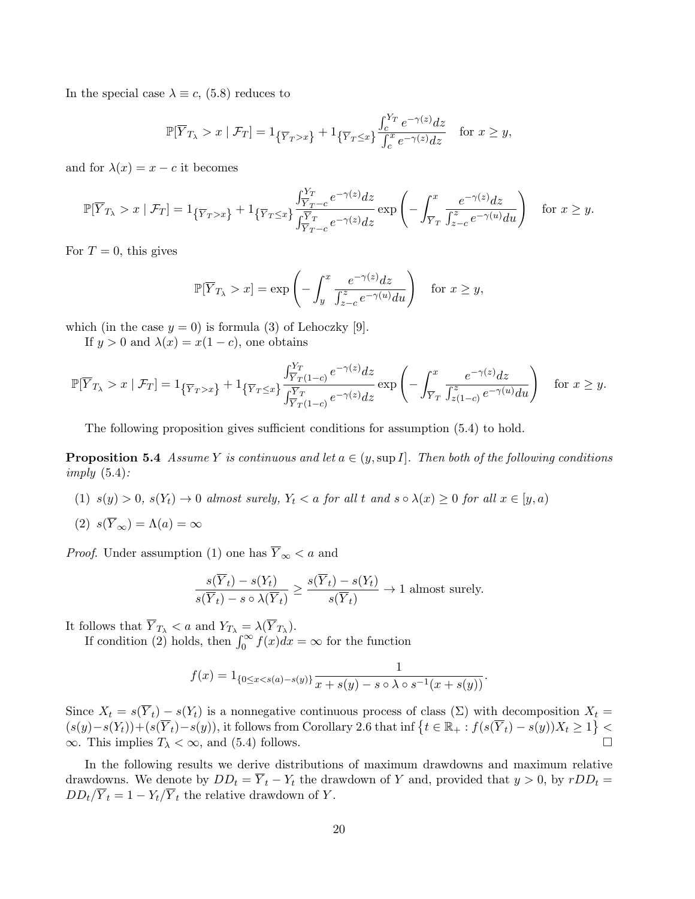In the special case  $\lambda \equiv c$ , (5.8) reduces to

$$
\mathbb{P}[\overline{Y}_{T_{\lambda}} > x \mid \mathcal{F}_T] = 1_{\{\overline{Y}_T > x\}} + 1_{\{\overline{Y}_T \le x\}} \frac{\int_c^{Y_T} e^{-\gamma(z)} dz}{\int_c^x e^{-\gamma(z)} dz} \quad \text{for } x \ge y,
$$

and for  $\lambda(x) = x - c$  it becomes

$$
\mathbb{P}[\overline{Y}_{T_{\lambda}} > x \mid \mathcal{F}_T] = 1_{\left\{ \overline{Y}_T > x \right\}} + 1_{\left\{ \overline{Y}_T \le x \right\}} \frac{\int_{\overline{Y}_T - c}^{Y_T} e^{-\gamma(z)} dz}{\int_{\overline{Y}_T - c}^{\overline{Y}_T} e^{-\gamma(z)} dz} \exp\left(-\int_{\overline{Y}_T}^x \frac{e^{-\gamma(z)} dz}{\int_{z-c}^z e^{-\gamma(u)} du}\right) \text{ for } x \ge y.
$$

For  $T = 0$ , this gives

$$
\mathbb{P}[\overline{Y}_{T_{\lambda}} > x] = \exp\left(-\int_{y}^{x} \frac{e^{-\gamma(z)}dz}{\int_{z-c}^{z} e^{-\gamma(u)}du}\right) \text{ for } x \ge y,
$$

which (in the case  $y = 0$ ) is formula (3) of Lehoczky [9].

If  $y > 0$  and  $\lambda(x) = x(1 - c)$ , one obtains

$$
\mathbb{P}[\overline{Y}_{T_{\lambda}} > x \mid \mathcal{F}_T] = 1_{\left\{\overline{Y}_T > x\right\}} + 1_{\left\{\overline{Y}_T \le x\right\}} \frac{\int_{\overline{Y}_T}^{Y_T} (1-c) e^{-\gamma(z)} dz}{\int_{\overline{Y}_T}^{\overline{Y}_T} (1-c) e^{-\gamma(z)} dz} \exp\left(-\int_{\overline{Y}_T}^x \frac{e^{-\gamma(z)} dz}{\int_{z(1-c)}^z e^{-\gamma(u)} du}\right) \text{ for } x \ge y.
$$

The following proposition gives sufficient conditions for assumption (5.4) to hold.

**Proposition 5.4** Assume Y is continuous and let  $a \in (y, \sup I]$ . Then both of the following conditions  $imply (5.4):$ 

- (1)  $s(y) > 0$ ,  $s(Y_t) \to 0$  almost surely,  $Y_t < a$  for all t and  $s \circ \lambda(x) \geq 0$  for all  $x \in [y, a)$
- $(2)$   $s(\overline{Y}_{\infty}) = \Lambda(a) = \infty$

*Proof.* Under assumption (1) one has  $\overline{Y}_{\infty} < a$  and

$$
\frac{s(\overline{Y}_t) - s(Y_t)}{s(\overline{Y}_t) - s \circ \lambda(\overline{Y}_t)} \ge \frac{s(\overline{Y}_t) - s(Y_t)}{s(\overline{Y}_t)} \to 1 \text{ almost surely.}
$$

It follows that  $Y_{T_{\lambda}} < a$  and  $Y_{T_{\lambda}} = \lambda(Y_{T_{\lambda}})$ .

If condition (2) holds, then  $\int_0^\infty f(x)dx = \infty$  for the function

$$
f(x) = 1_{\{0 \le x < s(a) - s(y)\}} \frac{1}{x + s(y) - s \circ \lambda \circ s^{-1}(x + s(y))}.
$$

Since  $X_t = s(\overline{Y}_t) - s(Y_t)$  is a nonnegative continuous process of class  $(\Sigma)$  with decomposition  $X_t =$  $(s(y)-s(Y_t)) + (s(\overline{Y}_t)-s(y)),$  it follows from Corollary 2.6 that inf  $\{t \in \mathbb{R}_+ : f(s(\overline{Y}_t)-s(y))X_t \geq 1\}$  $\infty$ . This implies  $T_{\lambda} < \infty$ , and (5.4) follows.

In the following results we derive distributions of maximum drawdowns and maximum relative drawdowns. We denote by  $DD_t = \overline{Y}_t - Y_t$  the drawdown of Y and, provided that  $y > 0$ , by  $rDD_t =$  $DD_t/\overline{Y}_t = 1 - Y_t/\overline{Y}_t$  the relative drawdown of Y.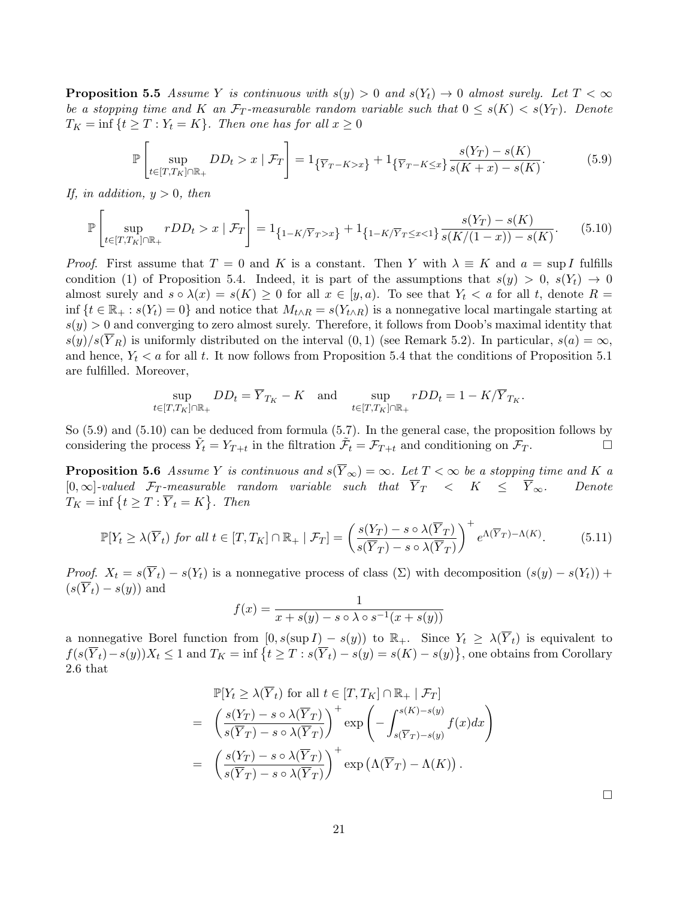**Proposition 5.5** Assume Y is continuous with  $s(y) > 0$  and  $s(Y_t) \to 0$  almost surely. Let  $T < \infty$ be a stopping time and K an  $\mathcal{F}_T$ -measurable random variable such that  $0 \leq s(K) < s(Y_T)$ . Denote  $T_K = \inf \{ t \geq T : Y_t = K \}.$  Then one has for all  $x \geq 0$ 

$$
\mathbb{P}\left[\sup_{t\in[T,T_K]\cap\mathbb{R}_+} DD_t > x \mid \mathcal{F}_T\right] = 1_{\{\overline{Y}_T - K > x\}} + 1_{\{\overline{Y}_T - K \le x\}} \frac{s(Y_T) - s(K)}{s(K+x) - s(K)}.
$$
(5.9)

If, in addition,  $y > 0$ , then

$$
\mathbb{P}\left[\sup_{t\in[T,T_K]\cap\mathbb{R}_+}rDD_t > x \mid \mathcal{F}_T\right] = 1_{\left\{1-K/\overline{Y}_T > x\right\}} + 1_{\left\{1-K/\overline{Y}_T \le x < 1\right\}} \frac{s(Y_T) - s(K)}{s(K/(1-x)) - s(K)}.\tag{5.10}
$$

*Proof.* First assume that  $T = 0$  and K is a constant. Then Y with  $\lambda \equiv K$  and  $a = \sup I$  fulfills condition (1) of Proposition 5.4. Indeed, it is part of the assumptions that  $s(y) > 0$ ,  $s(Y_t) \to 0$ almost surely and  $s \circ \lambda(x) = s(K) \geq 0$  for all  $x \in [y, a)$ . To see that  $Y_t < a$  for all t, denote  $R =$ inf  $\{t \in \mathbb{R}_+ : s(Y_t) = 0\}$  and notice that  $M_{t \wedge R} = s(Y_{t \wedge R})$  is a nonnegative local martingale starting at  $s(y) > 0$  and converging to zero almost surely. Therefore, it follows from Doob's maximal identity that  $s(y)/s(Y_R)$  is uniformly distributed on the interval  $(0, 1)$  (see Remark 5.2). In particular,  $s(a) = \infty$ , and hence,  $Y_t < a$  for all t. It now follows from Proposition 5.4 that the conditions of Proposition 5.1 are fulfilled. Moreover,

$$
\sup_{t \in [T,T_K] \cap \mathbb{R}_+} DD_t = \overline{Y}_{T_K} - K \quad \text{and} \quad \sup_{t \in [T,T_K] \cap \mathbb{R}_+} rDD_t = 1 - K/\overline{Y}_{T_K}.
$$

So (5.9) and (5.10) can be deduced from formula (5.7). In the general case, the proposition follows by considering the process  $\tilde{Y}_t = Y_{T+t}$  in the filtration  $\tilde{\mathcal{F}}_t = \mathcal{F}_{T+t}$  and conditioning on  $\mathcal{F}_T$ .

**Proposition 5.6** Assume Y is continuous and  $s(\overline{Y}_{\infty}) = \infty$ . Let  $T < \infty$  be a stopping time and K a  $[0, \infty]$ -valued  $\mathcal{F}_T$ -measurable random variable such that  $\overline{Y}_T < K \leq \overline{Y}_{\infty}$ . Denote  $T_K = \inf \{ t \geq T : \overline{Y}_t = K \}.$  Then

$$
\mathbb{P}[Y_t \ge \lambda(\overline{Y}_t) \text{ for all } t \in [T, T_K] \cap \mathbb{R}_+ \mid \mathcal{F}_T] = \left(\frac{s(Y_T) - s \circ \lambda(\overline{Y}_T)}{s(\overline{Y}_T) - s \circ \lambda(\overline{Y}_T)}\right)^+ e^{\Lambda(\overline{Y}_T) - \Lambda(K)}.\tag{5.11}
$$

*Proof.*  $X_t = s(\overline{Y}_t) - s(Y_t)$  is a nonnegative process of class  $(\Sigma)$  with decomposition  $(s(y) - s(Y_t))$  +  $(s(\overline{Y}_t) - s(y))$  and

$$
f(x) = \frac{1}{x + s(y) - s \circ \lambda \circ s^{-1}(x + s(y))}
$$

a nonnegative Borel function from  $[0, s(\sup I) - s(y))$  to  $\mathbb{R}_+$ . Since  $Y_t \ge \lambda(\overline{Y}_t)$  is equivalent to  $f(s(\overline{Y}_t)-s(y))X_t\leq 1\ \text{and}\ T_K=\inf\big\{t\geq T: s(\overline{Y}_t)-s(y)=s(K)-s(y)\big\},$  one obtains from Corollary 2.6 that

$$
\mathbb{P}[Y_t \ge \lambda(\overline{Y}_t) \text{ for all } t \in [T, T_K] \cap \mathbb{R}_+ | \mathcal{F}_T]
$$
\n
$$
= \left(\frac{s(Y_T) - s \circ \lambda(\overline{Y}_T)}{s(\overline{Y}_T) - s \circ \lambda(\overline{Y}_T)}\right)^+ \exp\left(-\int_{s(\overline{Y}_T) - s(y)}^{s(K) - s(y)} f(x) dx\right)
$$
\n
$$
= \left(\frac{s(Y_T) - s \circ \lambda(\overline{Y}_T)}{s(\overline{Y}_T) - s \circ \lambda(\overline{Y}_T)}\right)^+ \exp\left(\Lambda(\overline{Y}_T) - \Lambda(K)\right).
$$

 $\Box$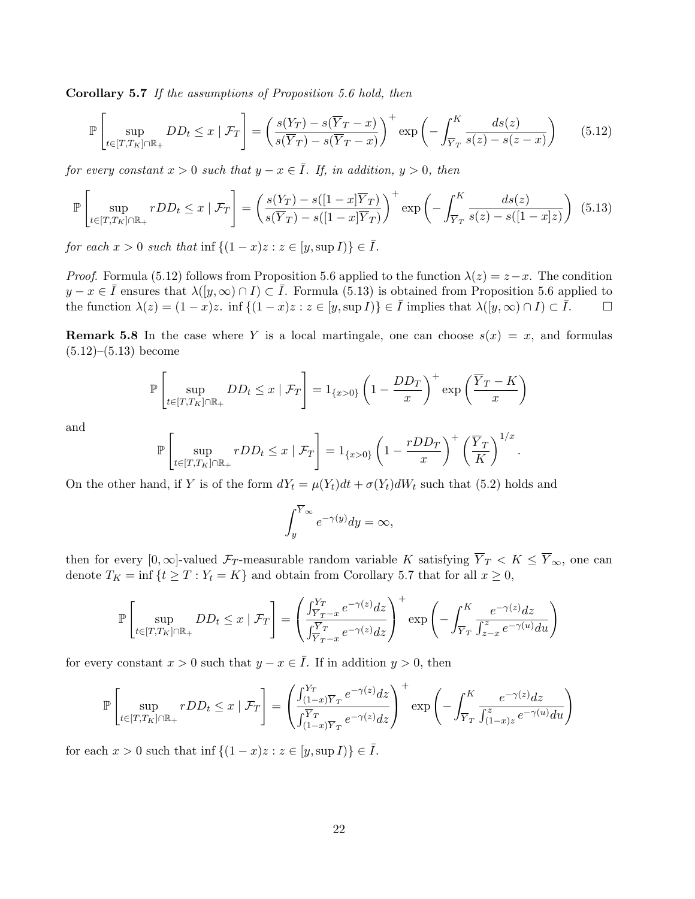Corollary 5.7 If the assumptions of Proposition 5.6 hold, then

$$
\mathbb{P}\left[\sup_{t\in[T,T_K]\cap\mathbb{R}_+} DD_t \leq x \mid \mathcal{F}_T\right] = \left(\frac{s(Y_T) - s(\overline{Y}_T - x)}{s(\overline{Y}_T) - s(\overline{Y}_T - x)}\right)^+ \exp\left(-\int_{\overline{Y}_T}^K \frac{ds(z)}{s(z) - s(z - x)}\right) \tag{5.12}
$$

for every constant  $x > 0$  such that  $y - x \in \overline{I}$ . If, in addition,  $y > 0$ , then

$$
\mathbb{P}\left[\sup_{t\in[T,T_K]\cap\mathbb{R}_+}rDD_t\leq x\mid\mathcal{F}_T\right]=\left(\frac{s(Y_T)-s([1-x]\overline{Y}_T)}{s(\overline{Y}_T)-s([1-x]\overline{Y}_T)}\right)^+\exp\left(-\int_{\overline{Y}_T}^K\frac{ds(z)}{s(z)-s([1-x]z)}\right) \tag{5.13}
$$

for each  $x > 0$  such that inf  $\{(1 - x)z : z \in [y, \sup I)\} \in \overline{I}$ .

*Proof.* Formula (5.12) follows from Proposition 5.6 applied to the function  $\lambda(z) = z-x$ . The condition  $y-x \in \overline{I}$  ensures that  $\lambda([y,\infty) \cap I) \subset \overline{I}$ . Formula (5.13) is obtained from Proposition 5.6 applied to the function  $\lambda(z) = (1-x)z$ . inf  $\{(1-x)z : z \in [y, \sup I)\}\in \overline{I}$  implies that  $\lambda([y, \infty) \cap I) \subset \overline{I}$ .

**Remark 5.8** In the case where Y is a local martingale, one can choose  $s(x) = x$ , and formulas  $(5.12)–(5.13)$  become

$$
\mathbb{P}\left[\sup_{t\in[T,T_K]\cap\mathbb{R}_+} DD_t \leq x \mid \mathcal{F}_T\right] = 1_{\{x>0\}} \left(1 - \frac{DD_T}{x}\right)^+ \exp\left(\frac{\overline{Y}_T - K}{x}\right)
$$

and

$$
\mathbb{P}\left[\sup_{t\in[T,T_K]\cap\mathbb{R}_+}rDD_t\leq x\mid \mathcal{F}_T\right]=1_{\{x>0\}}\left(1-\frac{rDD_T}{x}\right)^+\left(\frac{\overline{Y}_T}{K}\right)^{1/x}.
$$

On the other hand, if Y is of the form  $dY_t = \mu(Y_t)dt + \sigma(Y_t)dW_t$  such that (5.2) holds and

$$
\int_y^{\overline{Y}_{\infty}} e^{-\gamma(y)}dy = \infty,
$$

then for every  $[0,\infty]$ -valued  $\mathcal{F}_T$ -measurable random variable K satisfying  $\overline{Y}_T < K \leq \overline{Y}_{\infty}$ , one can denote  $T_K = \inf \{ t \geq T : Y_t = K \}$  and obtain from Corollary 5.7 that for all  $x \geq 0$ ,

$$
\mathbb{P}\left[\sup_{t\in[T,T_K]\cap\mathbb{R}_+} DD_t \leq x \mid \mathcal{F}_T\right] = \left(\frac{\int_{\overline{Y}_T-x}^{Y_T} e^{-\gamma(z)}dz}{\int_{\overline{Y}_T-x}^{\overline{Y}_T} e^{-\gamma(z)}dz}\right)^+ \exp\left(-\int_{\overline{Y}_T}^K \frac{e^{-\gamma(z)}dz}{\int_{z-x}^z e^{-\gamma(u)}du}\right)
$$

for every constant  $x > 0$  such that  $y - x \in \overline{I}$ . If in addition  $y > 0$ , then

$$
\mathbb{P}\left[\sup_{t\in[T,T_K]\cap\mathbb{R}_+}rDD_t\leq x\mid\mathcal{F}_T\right]=\left(\frac{\int_{(1-x)\overline{Y}_T}^{Y_T}e^{-\gamma(z)}dz}{\int_{(1-x)\overline{Y}_T}^{\overline{Y}_T}e^{-\gamma(z)}dz}\right)^+\exp\left(-\int_{\overline{Y}_T}^K\frac{e^{-\gamma(z)}dz}{\int_{(1-x)z}^ze^{-\gamma(u)}du}\right)
$$

for each  $x > 0$  such that inf  $\{(1 - x)z : z \in [y, \sup I)\}\in \overline{I}$ .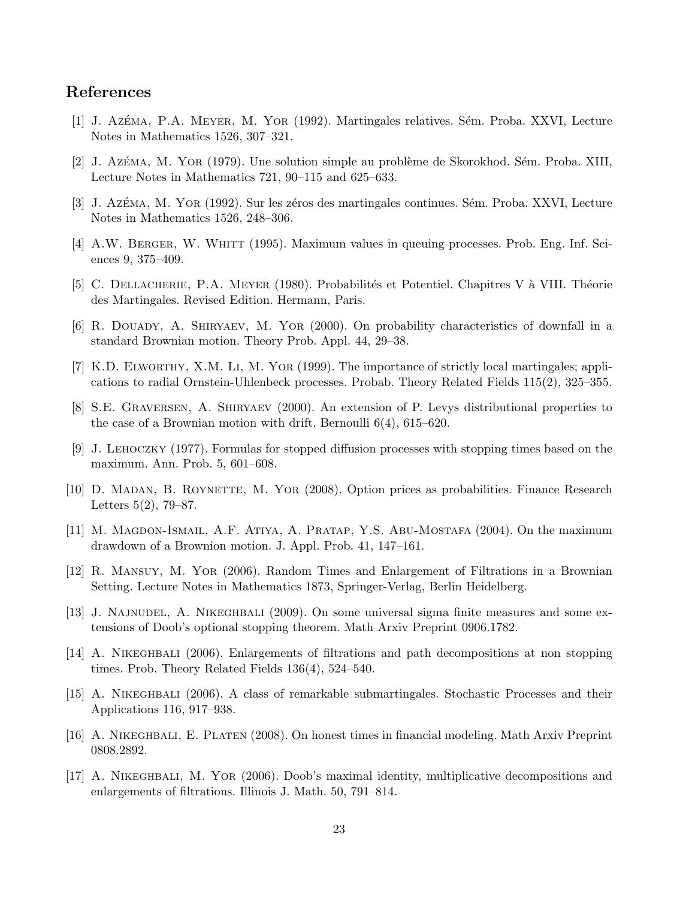# References

- [1] J. Azéma, P.A. Meyer, M. Yor (1992). Martingales relatives. Sém. Proba. XXVI, Lecture Notes in Mathematics 1526, 307–321.
- [2] J. Azéma, M. Yor (1979). Une solution simple au problème de Skorokhod. Sém. Proba. XIII, Lecture Notes in Mathematics 721, 90–115 and 625–633.
- [3] J. Azéma, M. Yor (1992). Sur les zéros des martingales continues. Sém. Proba. XXVI, Lecture Notes in Mathematics 1526, 248–306.
- [4] A.W. BERGER, W. WHITT (1995). Maximum values in queuing processes. Prob. Eng. Inf. Sciences 9, 375–409.
- [5] C. DELLACHERIE, P.A. MEYER (1980). Probabilités et Potentiel. Chapitres V à VIII. Théorie des Martingales. Revised Edition. Hermann, Paris.
- [6] R. Douady, A. Shiryaev, M. Yor (2000). On probability characteristics of downfall in a standard Brownian motion. Theory Prob. Appl. 44, 29–38.
- [7] K.D. Elworthy, X.M. Li, M. Yor (1999). The importance of strictly local martingales; applications to radial Ornstein-Uhlenbeck processes. Probab. Theory Related Fields 115(2), 325–355.
- [8] S.E. Graversen, A. Shiryaev (2000). An extension of P. Levys distributional properties to the case of a Brownian motion with drift. Bernoulli 6(4), 615–620.
- [9] J. Lehoczky (1977). Formulas for stopped diffusion processes with stopping times based on the maximum. Ann. Prob. 5, 601–608.
- [10] D. Madan, B. Roynette, M. Yor (2008). Option prices as probabilities. Finance Research Letters 5(2), 79–87.
- [11] M. Magdon-Ismail, A.F. Atiya, A. Pratap, Y.S. Abu-Mostafa (2004). On the maximum drawdown of a Brownion motion. J. Appl. Prob. 41, 147–161.
- [12] R. Mansuy, M. Yor (2006). Random Times and Enlargement of Filtrations in a Brownian Setting. Lecture Notes in Mathematics 1873, Springer-Verlag, Berlin Heidelberg.
- [13] J. Najnudel, A. Nikeghbali (2009). On some universal sigma finite measures and some extensions of Doob's optional stopping theorem. Math Arxiv Preprint 0906.1782.
- [14] A. NIKEGHBALI (2006). Enlargements of filtrations and path decompositions at non stopping times. Prob. Theory Related Fields 136(4), 524–540.
- [15] A. Nikeghbali (2006). A class of remarkable submartingales. Stochastic Processes and their Applications 116, 917–938.
- [16] A. Nikeghbali, E. Platen (2008). On honest times in financial modeling. Math Arxiv Preprint 0808.2892.
- [17] A. Nikeghbali, M. Yor (2006). Doob's maximal identity, multiplicative decompositions and enlargements of filtrations. Illinois J. Math. 50, 791–814.